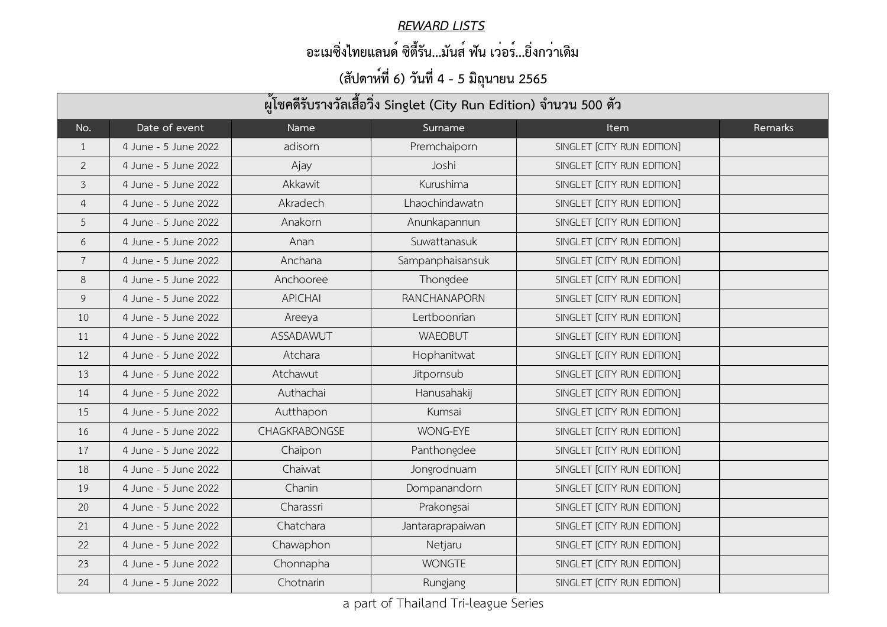| ผู้โชคดีรับรางวัลเสื้อวิ่ง Singlet (City Run Edition) จำนวน 500 ตัว |                      |                      |                     |                            |         |  |  |
|---------------------------------------------------------------------|----------------------|----------------------|---------------------|----------------------------|---------|--|--|
| No.                                                                 | Date of event        | Name                 | Surname             | <b>Item</b>                | Remarks |  |  |
|                                                                     | 4 June - 5 June 2022 | adisorn              | Premchaiporn        | SINGLET [CITY RUN EDITION] |         |  |  |
| $\overline{2}$                                                      | 4 June - 5 June 2022 | Ajay                 | Joshi               | SINGLET [CITY RUN EDITION] |         |  |  |
| $\mathfrak{Z}$                                                      | 4 June - 5 June 2022 | Akkawit              | Kurushima           | SINGLET [CITY RUN EDITION] |         |  |  |
| 4                                                                   | 4 June - 5 June 2022 | Akradech             | Lhaochindawatn      | SINGLET [CITY RUN EDITION] |         |  |  |
| 5                                                                   | 4 June - 5 June 2022 | Anakorn              | Anunkapannun        | SINGLET [CITY RUN EDITION] |         |  |  |
| 6                                                                   | 4 June - 5 June 2022 | Anan                 | Suwattanasuk        | SINGLET [CITY RUN EDITION] |         |  |  |
| $\overline{7}$                                                      | 4 June - 5 June 2022 | Anchana              | Sampanphaisansuk    | SINGLET [CITY RUN EDITION] |         |  |  |
| 8                                                                   | 4 June - 5 June 2022 | Anchooree            | Thongdee            | SINGLET [CITY RUN EDITION] |         |  |  |
| 9                                                                   | 4 June - 5 June 2022 | <b>APICHAI</b>       | <b>RANCHANAPORN</b> | SINGLET [CITY RUN EDITION] |         |  |  |
| 10                                                                  | 4 June - 5 June 2022 | Areeya               | Lertboonrian        | SINGLET [CITY RUN EDITION] |         |  |  |
| 11                                                                  | 4 June - 5 June 2022 | ASSADAWUT            | <b>WAEOBUT</b>      | SINGLET [CITY RUN EDITION] |         |  |  |
| 12                                                                  | 4 June - 5 June 2022 | Atchara              | Hophanitwat         | SINGLET [CITY RUN EDITION] |         |  |  |
| 13                                                                  | 4 June - 5 June 2022 | Atchawut             | Jitpornsub          | SINGLET [CITY RUN EDITION] |         |  |  |
| 14                                                                  | 4 June - 5 June 2022 | Authachai            | Hanusahakij         | SINGLET [CITY RUN EDITION] |         |  |  |
| 15                                                                  | 4 June - 5 June 2022 | Autthapon            | Kumsai              | SINGLET [CITY RUN EDITION] |         |  |  |
| 16                                                                  | 4 June - 5 June 2022 | <b>CHAGKRABONGSE</b> | <b>WONG-EYE</b>     | SINGLET [CITY RUN EDITION] |         |  |  |
| 17                                                                  | 4 June - 5 June 2022 | Chaipon              | Panthongdee         | SINGLET [CITY RUN EDITION] |         |  |  |
| 18                                                                  | 4 June - 5 June 2022 | Chaiwat              | Jongrodnuam         | SINGLET [CITY RUN EDITION] |         |  |  |
| 19                                                                  | 4 June - 5 June 2022 | Chanin               | Dompanandorn        | SINGLET [CITY RUN EDITION] |         |  |  |
| 20                                                                  | 4 June - 5 June 2022 | Charassri            | Prakongsai          | SINGLET [CITY RUN EDITION] |         |  |  |
| 21                                                                  | 4 June - 5 June 2022 | Chatchara            | Jantaraprapaiwan    | SINGLET [CITY RUN EDITION] |         |  |  |
| 22                                                                  | 4 June - 5 June 2022 | Chawaphon            | Netjaru             | SINGLET [CITY RUN EDITION] |         |  |  |
| 23                                                                  | 4 June - 5 June 2022 | Chonnapha            | <b>WONGTE</b>       | SINGLET [CITY RUN EDITION] |         |  |  |
| 24                                                                  | 4 June - 5 June 2022 | Chotnarin            | Rungjang            | SINGLET [CITY RUN EDITION] |         |  |  |

#### *REWARD LISTS*

### **อะเมซิ่งไทยแลนด์ ซิตี้รัน...มันส์ ฟัน เว่อร์...ยิ่งกว่าเดิม**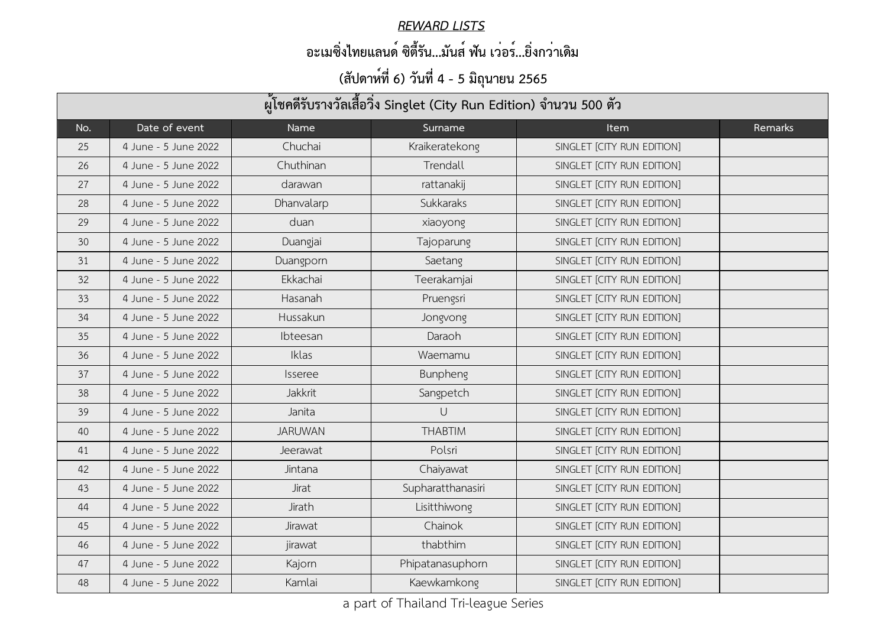#### *REWARD LISTS*

### **อะเมซิ่งไทยแลนด์ ซิตี้รัน...มันส์ ฟัน เว่อร์...ยิ่งกว่าเดิม**

| ผู้โชคดีรับรางวัลเสื้อวิ่ง Singlet (City Run Edition) จำนวน 500 ตัว |                      |                |                   |                            |         |  |  |
|---------------------------------------------------------------------|----------------------|----------------|-------------------|----------------------------|---------|--|--|
| No.                                                                 | Date of event        | Name           | Surname           | <b>Item</b>                | Remarks |  |  |
| 25                                                                  | 4 June - 5 June 2022 | Chuchai        | Kraikeratekong    | SINGLET [CITY RUN EDITION] |         |  |  |
| 26                                                                  | 4 June - 5 June 2022 | Chuthinan      | Trendall          | SINGLET [CITY RUN EDITION] |         |  |  |
| 27                                                                  | 4 June - 5 June 2022 | darawan        | rattanakij        | SINGLET [CITY RUN EDITION] |         |  |  |
| 28                                                                  | 4 June - 5 June 2022 | Dhanvalarp     | Sukkaraks         | SINGLET [CITY RUN EDITION] |         |  |  |
| 29                                                                  | 4 June - 5 June 2022 | duan           | xiaoyong          | SINGLET [CITY RUN EDITION] |         |  |  |
| 30                                                                  | 4 June - 5 June 2022 | Duangjai       | Tajoparung        | SINGLET [CITY RUN EDITION] |         |  |  |
| 31                                                                  | 4 June - 5 June 2022 | Duangporn      | Saetang           | SINGLET [CITY RUN EDITION] |         |  |  |
| 32                                                                  | 4 June - 5 June 2022 | Ekkachai       | Teerakamjai       | SINGLET [CITY RUN EDITION] |         |  |  |
| 33                                                                  | 4 June - 5 June 2022 | Hasanah        | Pruengsri         | SINGLET [CITY RUN EDITION] |         |  |  |
| 34                                                                  | 4 June - 5 June 2022 | Hussakun       | Jongvong          | SINGLET [CITY RUN EDITION] |         |  |  |
| 35                                                                  | 4 June - 5 June 2022 | Ibteesan       | Daraoh            | SINGLET [CITY RUN EDITION] |         |  |  |
| 36                                                                  | 4 June - 5 June 2022 | Iklas          | Waemamu           | SINGLET [CITY RUN EDITION] |         |  |  |
| 37                                                                  | 4 June - 5 June 2022 | <i>Isseree</i> | <b>Bunpheng</b>   | SINGLET [CITY RUN EDITION] |         |  |  |
| 38                                                                  | 4 June - 5 June 2022 | Jakkrit        | Sangpetch         | SINGLET [CITY RUN EDITION] |         |  |  |
| 39                                                                  | 4 June - 5 June 2022 | Janita         | $\bigcup$         | SINGLET [CITY RUN EDITION] |         |  |  |
| 40                                                                  | 4 June - 5 June 2022 | <b>JARUWAN</b> | <b>THABTIM</b>    | SINGLET [CITY RUN EDITION] |         |  |  |
| 41                                                                  | 4 June - 5 June 2022 | Jeerawat       | Polsri            | SINGLET [CITY RUN EDITION] |         |  |  |
| 42                                                                  | 4 June - 5 June 2022 | Jintana        | Chaiyawat         | SINGLET [CITY RUN EDITION] |         |  |  |
| 43                                                                  | 4 June - 5 June 2022 | <b>Jirat</b>   | Supharatthanasiri | SINGLET [CITY RUN EDITION] |         |  |  |
| 44                                                                  | 4 June - 5 June 2022 | Jirath         | Lisitthiwong      | SINGLET [CITY RUN EDITION] |         |  |  |
| 45                                                                  | 4 June - 5 June 2022 | Jirawat        | Chainok           | SINGLET [CITY RUN EDITION] |         |  |  |
| 46                                                                  | 4 June - 5 June 2022 | jirawat        | thabthim          | SINGLET [CITY RUN EDITION] |         |  |  |
| 47                                                                  | 4 June - 5 June 2022 | Kajorn         | Phipatanasuphorn  | SINGLET [CITY RUN EDITION] |         |  |  |
| 48                                                                  | 4 June - 5 June 2022 | Kamlai         | Kaewkamkong       | SINGLET [CITY RUN EDITION] |         |  |  |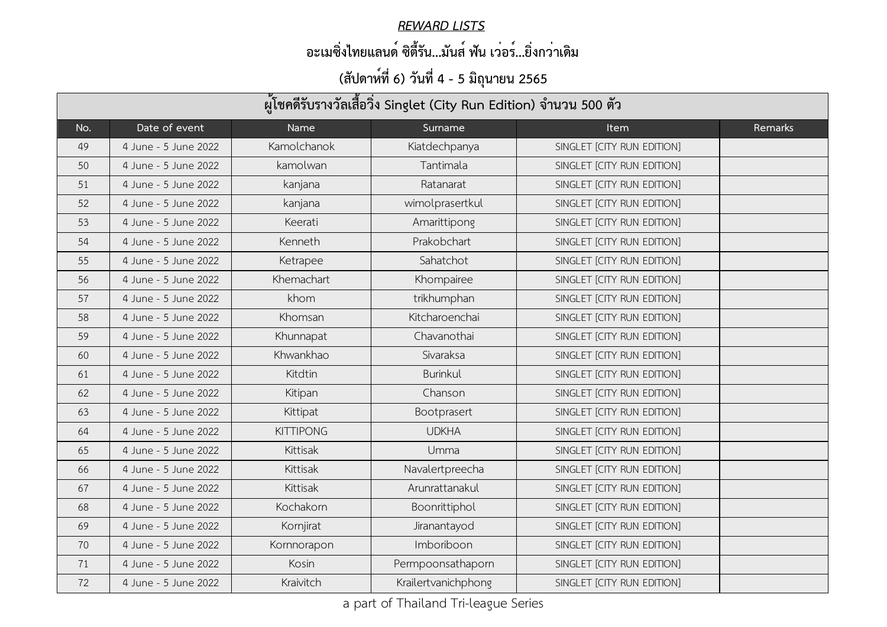#### *REWARD LISTS*

### **อะเมซิ่งไทยแลนด์ ซิตี้รัน...มันส์ ฟัน เว่อร์...ยิ่งกว่าเดิม**

| ้ผู้โชคดีรับรางวัลเสื้อวิ่ง Singlet (City Run Edition) จำนวน 500 ตัว |                      |                  |                     |                            |         |  |  |
|----------------------------------------------------------------------|----------------------|------------------|---------------------|----------------------------|---------|--|--|
| No.                                                                  | Date of event        | Name             | Surname             | <b>Item</b>                | Remarks |  |  |
| 49                                                                   | 4 June - 5 June 2022 | Kamolchanok      | Kiatdechpanya       | SINGLET [CITY RUN EDITION] |         |  |  |
| 50                                                                   | 4 June - 5 June 2022 | kamolwan         | Tantimala           | SINGLET [CITY RUN EDITION] |         |  |  |
| 51                                                                   | 4 June - 5 June 2022 | kanjana          | Ratanarat           | SINGLET [CITY RUN EDITION] |         |  |  |
| 52                                                                   | 4 June - 5 June 2022 | kanjana          | wimolprasertkul     | SINGLET [CITY RUN EDITION] |         |  |  |
| 53                                                                   | 4 June - 5 June 2022 | Keerati          | Amarittipong        | SINGLET [CITY RUN EDITION] |         |  |  |
| 54                                                                   | 4 June - 5 June 2022 | Kenneth          | Prakobchart         | SINGLET [CITY RUN EDITION] |         |  |  |
| 55                                                                   | 4 June - 5 June 2022 | Ketrapee         | Sahatchot           | SINGLET [CITY RUN EDITION] |         |  |  |
| 56                                                                   | 4 June - 5 June 2022 | Khemachart       | Khompairee          | SINGLET [CITY RUN EDITION] |         |  |  |
| 57                                                                   | 4 June - 5 June 2022 | khom             | trikhumphan         | SINGLET [CITY RUN EDITION] |         |  |  |
| 58                                                                   | 4 June - 5 June 2022 | Khomsan          | Kitcharoenchai      | SINGLET [CITY RUN EDITION] |         |  |  |
| 59                                                                   | 4 June - 5 June 2022 | Khunnapat        | Chavanothai         | SINGLET [CITY RUN EDITION] |         |  |  |
| 60                                                                   | 4 June - 5 June 2022 | Khwankhao        | Sivaraksa           | SINGLET [CITY RUN EDITION] |         |  |  |
| 61                                                                   | 4 June - 5 June 2022 | Kitdtin          | <b>Burinkul</b>     | SINGLET [CITY RUN EDITION] |         |  |  |
| 62                                                                   | 4 June - 5 June 2022 | Kitipan          | Chanson             | SINGLET [CITY RUN EDITION] |         |  |  |
| 63                                                                   | 4 June - 5 June 2022 | Kittipat         | Bootprasert         | SINGLET [CITY RUN EDITION] |         |  |  |
| 64                                                                   | 4 June - 5 June 2022 | <b>KITTIPONG</b> | <b>UDKHA</b>        | SINGLET [CITY RUN EDITION] |         |  |  |
| 65                                                                   | 4 June - 5 June 2022 | Kittisak         | Umma                | SINGLET [CITY RUN EDITION] |         |  |  |
| 66                                                                   | 4 June - 5 June 2022 | Kittisak         | Navalertpreecha     | SINGLET [CITY RUN EDITION] |         |  |  |
| 67                                                                   | 4 June - 5 June 2022 | Kittisak         | Arunrattanakul      | SINGLET [CITY RUN EDITION] |         |  |  |
| 68                                                                   | 4 June - 5 June 2022 | Kochakorn        | Boonrittiphol       | SINGLET [CITY RUN EDITION] |         |  |  |
| 69                                                                   | 4 June - 5 June 2022 | Kornjirat        | Jiranantayod        | SINGLET [CITY RUN EDITION] |         |  |  |
| 70                                                                   | 4 June - 5 June 2022 | Kornnorapon      | Imboriboon          | SINGLET [CITY RUN EDITION] |         |  |  |
| 71                                                                   | 4 June - 5 June 2022 | Kosin            | Permpoonsathaporn   | SINGLET [CITY RUN EDITION] |         |  |  |
| 72                                                                   | 4 June - 5 June 2022 | Kraivitch        | Krailertvanichphong | SINGLET [CITY RUN EDITION] |         |  |  |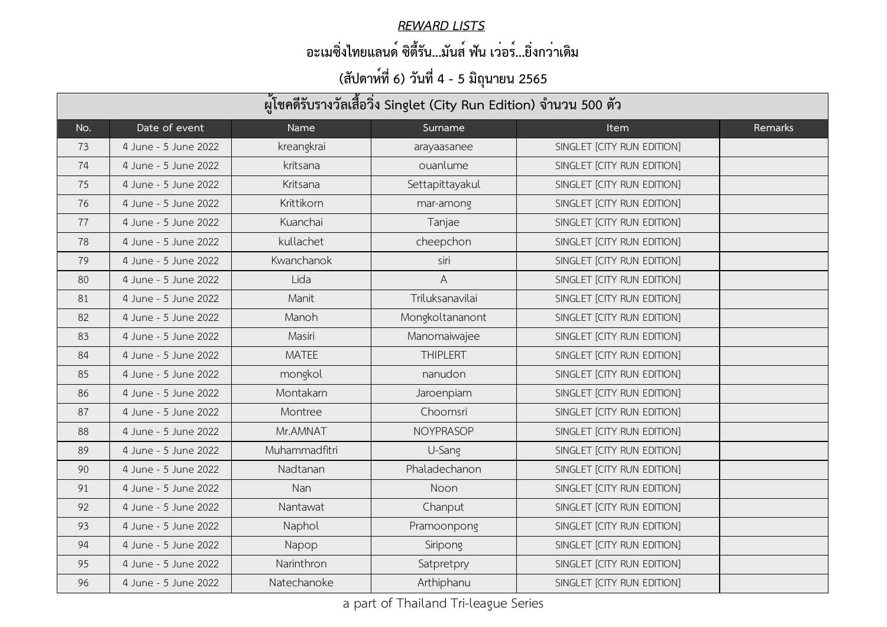#### *REWARD LISTS*

### **อะเมซิ่งไทยแลนด์ ซิตี้รัน...มันส์ ฟัน เว่อร์...ยิ่งกว่าเดิม**

| ผู้โชคดีรับรางวัลเสื้อวิ่ง Singlet (City Run Edition) จำนวน 500 ตัว |                      |               |                 |                            |         |  |  |
|---------------------------------------------------------------------|----------------------|---------------|-----------------|----------------------------|---------|--|--|
| No.                                                                 | Date of event        | Name          | Surname         | <b>Item</b>                | Remarks |  |  |
| 73                                                                  | 4 June - 5 June 2022 | kreangkrai    | arayaasanee     | SINGLET [CITY RUN EDITION] |         |  |  |
| 74                                                                  | 4 June - 5 June 2022 | kritsana      | ouanlume        | SINGLET [CITY RUN EDITION] |         |  |  |
| 75                                                                  | 4 June - 5 June 2022 | Kritsana      | Settapittayakul | SINGLET [CITY RUN EDITION] |         |  |  |
| 76                                                                  | 4 June - 5 June 2022 | Krittikorn    | mar-among       | SINGLET [CITY RUN EDITION] |         |  |  |
| 77                                                                  | 4 June - 5 June 2022 | Kuanchai      | Tanjae          | SINGLET [CITY RUN EDITION] |         |  |  |
| 78                                                                  | 4 June - 5 June 2022 | kullachet     | cheepchon       | SINGLET [CITY RUN EDITION] |         |  |  |
| 79                                                                  | 4 June - 5 June 2022 | Kwanchanok    | siri            | SINGLET [CITY RUN EDITION] |         |  |  |
| 80                                                                  | 4 June - 5 June 2022 | Lida          | A               | SINGLET [CITY RUN EDITION] |         |  |  |
| 81                                                                  | 4 June - 5 June 2022 | Manit         | Triluksanavilai | SINGLET [CITY RUN EDITION] |         |  |  |
| 82                                                                  | 4 June - 5 June 2022 | Manoh         | Mongkoltananont | SINGLET [CITY RUN EDITION] |         |  |  |
| 83                                                                  | 4 June - 5 June 2022 | Masiri        | Manomaiwajee    | SINGLET [CITY RUN EDITION] |         |  |  |
| 84                                                                  | 4 June - 5 June 2022 | <b>MATEE</b>  | <b>THIPLERT</b> | SINGLET [CITY RUN EDITION] |         |  |  |
| 85                                                                  | 4 June - 5 June 2022 | mongkol       | nanudon         | SINGLET [CITY RUN EDITION] |         |  |  |
| 86                                                                  | 4 June - 5 June 2022 | Montakarn     | Jaroenpiam      | SINGLET [CITY RUN EDITION] |         |  |  |
| 87                                                                  | 4 June - 5 June 2022 | Montree       | Choomsri        | SINGLET [CITY RUN EDITION] |         |  |  |
| 88                                                                  | 4 June - 5 June 2022 | Mr.AMNAT      | NOYPRASOP       | SINGLET [CITY RUN EDITION] |         |  |  |
| 89                                                                  | 4 June - 5 June 2022 | Muhammadfitri | U-Sang          | SINGLET [CITY RUN EDITION] |         |  |  |
| 90                                                                  | 4 June - 5 June 2022 | Nadtanan      | Phaladechanon   | SINGLET [CITY RUN EDITION] |         |  |  |
| 91                                                                  | 4 June - 5 June 2022 | Nan           | Noon            | SINGLET [CITY RUN EDITION] |         |  |  |
| 92                                                                  | 4 June - 5 June 2022 | Nantawat      | Chanput         | SINGLET [CITY RUN EDITION] |         |  |  |
| 93                                                                  | 4 June - 5 June 2022 | Naphol        | Pramoonpong     | SINGLET [CITY RUN EDITION] |         |  |  |
| 94                                                                  | 4 June - 5 June 2022 | Napop         | Siripong        | SINGLET [CITY RUN EDITION] |         |  |  |
| 95                                                                  | 4 June - 5 June 2022 | Narinthron    | Satpretpry      | SINGLET [CITY RUN EDITION] |         |  |  |
| 96                                                                  | 4 June - 5 June 2022 | Natechanoke   | Arthiphanu      | SINGLET [CITY RUN EDITION] |         |  |  |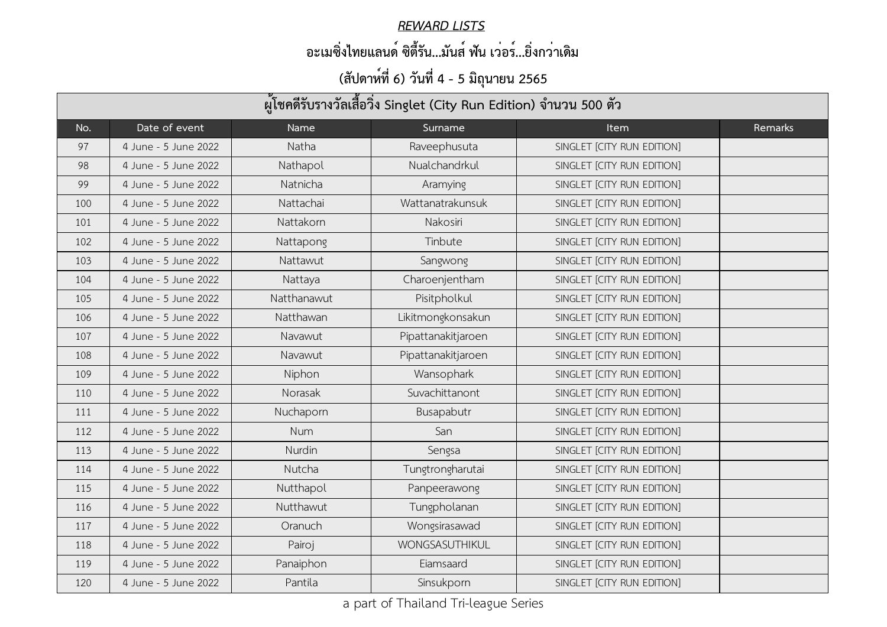#### *REWARD LISTS*

### **อะเมซิ่งไทยแลนด์ ซิตี้รัน...มันส์ ฟัน เว่อร์...ยิ่งกว่าเดิม**

| ผู้โชคดีรับรางวัลเสื้อวิ่ง Singlet (City Run Edition) จำนวน 500 ตัว |                      |             |                    |                            |                |  |  |
|---------------------------------------------------------------------|----------------------|-------------|--------------------|----------------------------|----------------|--|--|
| No.                                                                 | Date of event        | Name        | Surname            | <b>Item</b>                | <b>Remarks</b> |  |  |
| 97                                                                  | 4 June - 5 June 2022 | Natha       | Raveephusuta       | SINGLET [CITY RUN EDITION] |                |  |  |
| 98                                                                  | 4 June - 5 June 2022 | Nathapol    | Nualchandrkul      | SINGLET [CITY RUN EDITION] |                |  |  |
| 99                                                                  | 4 June - 5 June 2022 | Natnicha    | Aramying           | SINGLET [CITY RUN EDITION] |                |  |  |
| 100                                                                 | 4 June - 5 June 2022 | Nattachai   | Wattanatrakunsuk   | SINGLET [CITY RUN EDITION] |                |  |  |
| 101                                                                 | 4 June - 5 June 2022 | Nattakorn   | <b>Nakosiri</b>    | SINGLET [CITY RUN EDITION] |                |  |  |
| 102                                                                 | 4 June - 5 June 2022 | Nattapong   | Tinbute            | SINGLET [CITY RUN EDITION] |                |  |  |
| 103                                                                 | 4 June - 5 June 2022 | Nattawut    | Sangwong           | SINGLET [CITY RUN EDITION] |                |  |  |
| 104                                                                 | 4 June - 5 June 2022 | Nattaya     | Charoenjentham     | SINGLET [CITY RUN EDITION] |                |  |  |
| 105                                                                 | 4 June - 5 June 2022 | Natthanawut | Pisitpholkul       | SINGLET [CITY RUN EDITION] |                |  |  |
| 106                                                                 | 4 June - 5 June 2022 | Natthawan   | Likitmongkonsakun  | SINGLET [CITY RUN EDITION] |                |  |  |
| 107                                                                 | 4 June - 5 June 2022 | Navawut     | Pipattanakitjaroen | SINGLET [CITY RUN EDITION] |                |  |  |
| 108                                                                 | 4 June - 5 June 2022 | Navawut     | Pipattanakitjaroen | SINGLET [CITY RUN EDITION] |                |  |  |
| 109                                                                 | 4 June - 5 June 2022 | Niphon      | Wansophark         | SINGLET [CITY RUN EDITION] |                |  |  |
| 110                                                                 | 4 June - 5 June 2022 | Norasak     | Suvachittanont     | SINGLET [CITY RUN EDITION] |                |  |  |
| 111                                                                 | 4 June - 5 June 2022 | Nuchaporn   | Busapabutr         | SINGLET [CITY RUN EDITION] |                |  |  |
| 112                                                                 | 4 June - 5 June 2022 | Num         | San                | SINGLET [CITY RUN EDITION] |                |  |  |
| 113                                                                 | 4 June - 5 June 2022 | Nurdin      | Sengsa             | SINGLET [CITY RUN EDITION] |                |  |  |
| 114                                                                 | 4 June - 5 June 2022 | Nutcha      | Tungtrongharutai   | SINGLET [CITY RUN EDITION] |                |  |  |
| 115                                                                 | 4 June - 5 June 2022 | Nutthapol   | Panpeerawong       | SINGLET [CITY RUN EDITION] |                |  |  |
| 116                                                                 | 4 June - 5 June 2022 | Nutthawut   | Tungpholanan       | SINGLET [CITY RUN EDITION] |                |  |  |
| 117                                                                 | 4 June - 5 June 2022 | Oranuch     | Wongsirasawad      | SINGLET [CITY RUN EDITION] |                |  |  |
| 118                                                                 | 4 June - 5 June 2022 | Pairoj      | WONGSASUTHIKUL     | SINGLET [CITY RUN EDITION] |                |  |  |
| 119                                                                 | 4 June - 5 June 2022 | Panaiphon   | Eiamsaard          | SINGLET [CITY RUN EDITION] |                |  |  |
| 120                                                                 | 4 June - 5 June 2022 | Pantila     | Sinsukporn         | SINGLET [CITY RUN EDITION] |                |  |  |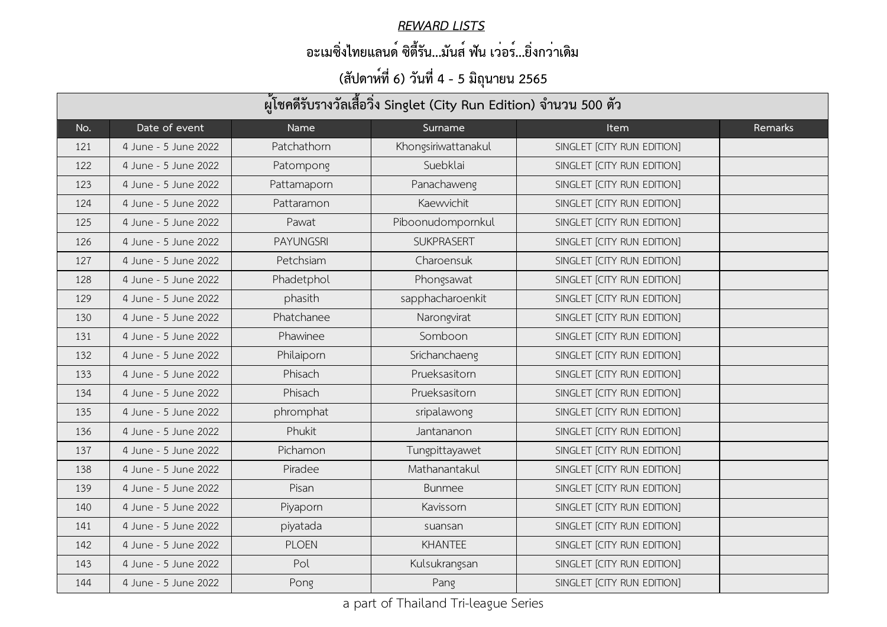#### *REWARD LISTS*

### **อะเมซิ่งไทยแลนด์ ซิตี้รัน...มันส์ ฟัน เว่อร์...ยิ่งกว่าเดิม**

| ผู้โชคดีรับรางวัลเสื้อวิ่ง Singlet (City Run Edition) จำนวน 500 ตัว |                      |                  |                     |                            |         |  |  |
|---------------------------------------------------------------------|----------------------|------------------|---------------------|----------------------------|---------|--|--|
| No.                                                                 | Date of event        | Name             | Surname             | <b>Item</b>                | Remarks |  |  |
| 121                                                                 | 4 June - 5 June 2022 | Patchathorn      | Khongsiriwattanakul | SINGLET [CITY RUN EDITION] |         |  |  |
| 122                                                                 | 4 June - 5 June 2022 | Patompong        | Suebklai            | SINGLET [CITY RUN EDITION] |         |  |  |
| 123                                                                 | 4 June - 5 June 2022 | Pattamaporn      | Panachaweng         | SINGLET [CITY RUN EDITION] |         |  |  |
| 124                                                                 | 4 June - 5 June 2022 | Pattaramon       | Kaewvichit          | SINGLET [CITY RUN EDITION] |         |  |  |
| 125                                                                 | 4 June - 5 June 2022 | Pawat            | Piboonudompornkul   | SINGLET [CITY RUN EDITION] |         |  |  |
| 126                                                                 | 4 June - 5 June 2022 | <b>PAYUNGSRI</b> | <b>SUKPRASERT</b>   | SINGLET [CITY RUN EDITION] |         |  |  |
| 127                                                                 | 4 June - 5 June 2022 | Petchsiam        | Charoensuk          | SINGLET [CITY RUN EDITION] |         |  |  |
| 128                                                                 | 4 June - 5 June 2022 | Phadetphol       | Phongsawat          | SINGLET [CITY RUN EDITION] |         |  |  |
| 129                                                                 | 4 June - 5 June 2022 | phasith          | sapphacharoenkit    | SINGLET [CITY RUN EDITION] |         |  |  |
| 130                                                                 | 4 June - 5 June 2022 | Phatchanee       | Narongvirat         | SINGLET [CITY RUN EDITION] |         |  |  |
| 131                                                                 | 4 June - 5 June 2022 | Phawinee         | Somboon             | SINGLET [CITY RUN EDITION] |         |  |  |
| 132                                                                 | 4 June - 5 June 2022 | Philaiporn       | Srichanchaeng       | SINGLET [CITY RUN EDITION] |         |  |  |
| 133                                                                 | 4 June - 5 June 2022 | Phisach          | Prueksasitorn       | SINGLET [CITY RUN EDITION] |         |  |  |
| 134                                                                 | 4 June - 5 June 2022 | Phisach          | Prueksasitorn       | SINGLET [CITY RUN EDITION] |         |  |  |
| 135                                                                 | 4 June - 5 June 2022 | phromphat        | sripalawong         | SINGLET [CITY RUN EDITION] |         |  |  |
| 136                                                                 | 4 June - 5 June 2022 | Phukit           | Jantananon          | SINGLET [CITY RUN EDITION] |         |  |  |
| 137                                                                 | 4 June - 5 June 2022 | Pichamon         | Tungpittayawet      | SINGLET [CITY RUN EDITION] |         |  |  |
| 138                                                                 | 4 June - 5 June 2022 | Piradee          | Mathanantakul       | SINGLET [CITY RUN EDITION] |         |  |  |
| 139                                                                 | 4 June - 5 June 2022 | Pisan            | <b>Bunmee</b>       | SINGLET [CITY RUN EDITION] |         |  |  |
| 140                                                                 | 4 June - 5 June 2022 | Piyaporn         | Kavissorn           | SINGLET [CITY RUN EDITION] |         |  |  |
| 141                                                                 | 4 June - 5 June 2022 | piyatada         | suansan             | SINGLET [CITY RUN EDITION] |         |  |  |
| 142                                                                 | 4 June - 5 June 2022 | <b>PLOEN</b>     | <b>KHANTEE</b>      | SINGLET [CITY RUN EDITION] |         |  |  |
| 143                                                                 | 4 June - 5 June 2022 | Pol              | Kulsukrangsan       | SINGLET [CITY RUN EDITION] |         |  |  |
| 144                                                                 | 4 June - 5 June 2022 | Pong             | Pang                | SINGLET [CITY RUN EDITION] |         |  |  |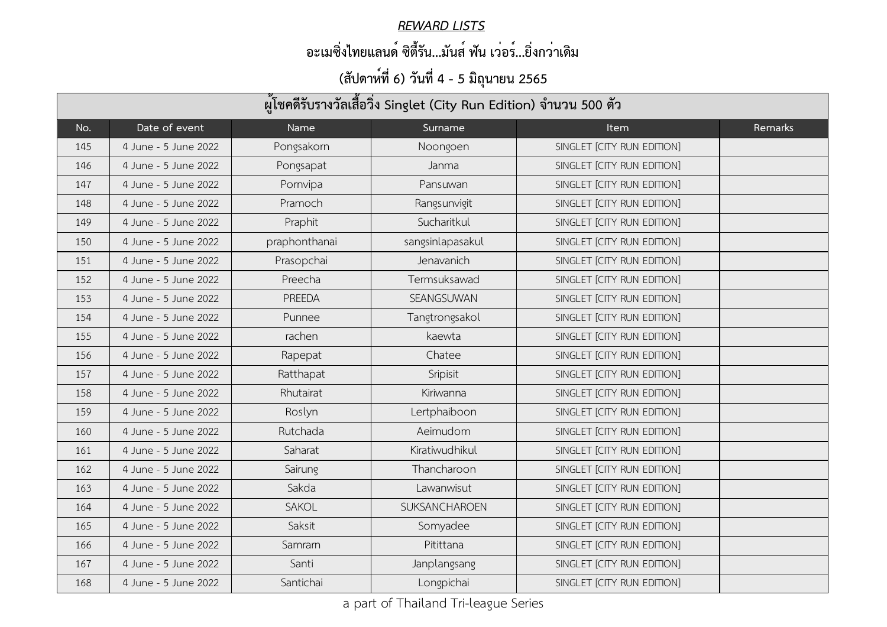#### *REWARD LISTS*

### **อะเมซิ่งไทยแลนด์ ซิตี้รัน...มันส์ ฟัน เว่อร์...ยิ่งกว่าเดิม**

| ผู้โชคดีรับรางวัลเสื้อวิ่ง Singlet (City Run Edition) จำนวน 500 ตัว |                      |               |                      |                            |         |  |  |
|---------------------------------------------------------------------|----------------------|---------------|----------------------|----------------------------|---------|--|--|
| No.                                                                 | Date of event        | Name          | Surname              | <b>Item</b>                | Remarks |  |  |
| 145                                                                 | 4 June - 5 June 2022 | Pongsakorn    | Noongoen             | SINGLET [CITY RUN EDITION] |         |  |  |
| 146                                                                 | 4 June - 5 June 2022 | Pongsapat     | Janma                | SINGLET [CITY RUN EDITION] |         |  |  |
| 147                                                                 | 4 June - 5 June 2022 | Pornvipa      | Pansuwan             | SINGLET [CITY RUN EDITION] |         |  |  |
| 148                                                                 | 4 June - 5 June 2022 | Pramoch       | Rangsunvigit         | SINGLET [CITY RUN EDITION] |         |  |  |
| 149                                                                 | 4 June - 5 June 2022 | Praphit       | Sucharitkul          | SINGLET [CITY RUN EDITION] |         |  |  |
| 150                                                                 | 4 June - 5 June 2022 | praphonthanai | sangsinlapasakul     | SINGLET [CITY RUN EDITION] |         |  |  |
| 151                                                                 | 4 June - 5 June 2022 | Prasopchai    | Jenavanich           | SINGLET [CITY RUN EDITION] |         |  |  |
| 152                                                                 | 4 June - 5 June 2022 | Preecha       | Termsuksawad         | SINGLET [CITY RUN EDITION] |         |  |  |
| 153                                                                 | 4 June - 5 June 2022 | <b>PREEDA</b> | SEANGSUWAN           | SINGLET [CITY RUN EDITION] |         |  |  |
| 154                                                                 | 4 June - 5 June 2022 | Punnee        | Tangtrongsakol       | SINGLET [CITY RUN EDITION] |         |  |  |
| 155                                                                 | 4 June - 5 June 2022 | rachen        | kaewta               | SINGLET [CITY RUN EDITION] |         |  |  |
| 156                                                                 | 4 June - 5 June 2022 | Rapepat       | Chatee               | SINGLET [CITY RUN EDITION] |         |  |  |
| 157                                                                 | 4 June - 5 June 2022 | Ratthapat     | Sripisit             | SINGLET [CITY RUN EDITION] |         |  |  |
| 158                                                                 | 4 June - 5 June 2022 | Rhutairat     | Kiriwanna            | SINGLET [CITY RUN EDITION] |         |  |  |
| 159                                                                 | 4 June - 5 June 2022 | Roslyn        | Lertphaiboon         | SINGLET [CITY RUN EDITION] |         |  |  |
| 160                                                                 | 4 June - 5 June 2022 | Rutchada      | Aeimudom             | SINGLET [CITY RUN EDITION] |         |  |  |
| 161                                                                 | 4 June - 5 June 2022 | Saharat       | Kiratiwudhikul       | SINGLET [CITY RUN EDITION] |         |  |  |
| 162                                                                 | 4 June - 5 June 2022 | Sairung       | Thancharoon          | SINGLET [CITY RUN EDITION] |         |  |  |
| 163                                                                 | 4 June - 5 June 2022 | Sakda         | Lawanwisut           | SINGLET [CITY RUN EDITION] |         |  |  |
| 164                                                                 | 4 June - 5 June 2022 | <b>SAKOL</b>  | <b>SUKSANCHAROEN</b> | SINGLET [CITY RUN EDITION] |         |  |  |
| 165                                                                 | 4 June - 5 June 2022 | Saksit        | Somyadee             | SINGLET [CITY RUN EDITION] |         |  |  |
| 166                                                                 | 4 June - 5 June 2022 | Samrarn       | Pitittana            | SINGLET [CITY RUN EDITION] |         |  |  |
| 167                                                                 | 4 June - 5 June 2022 | Santi         | Janplangsang         | SINGLET [CITY RUN EDITION] |         |  |  |
| 168                                                                 | 4 June - 5 June 2022 | Santichai     | Longpichai           | SINGLET [CITY RUN EDITION] |         |  |  |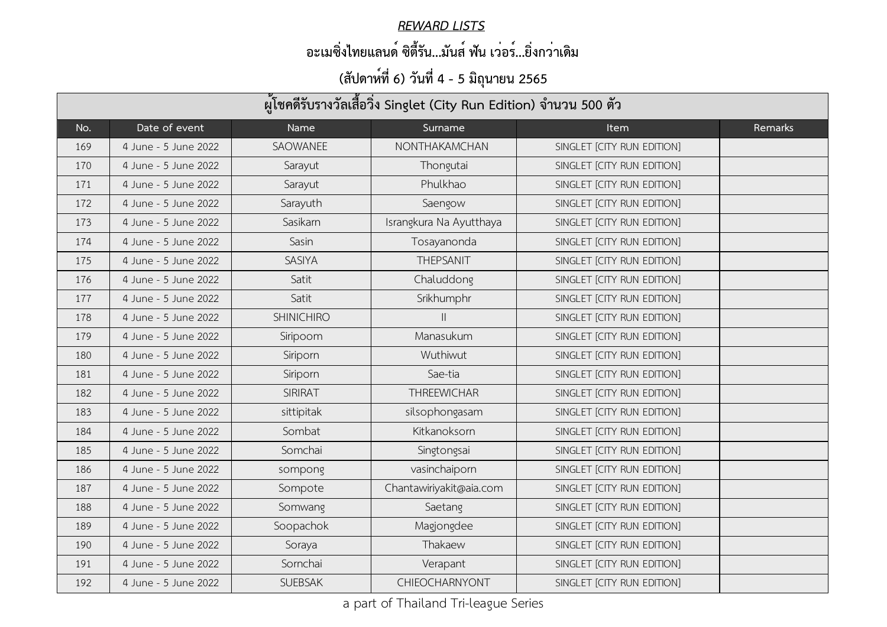#### *REWARD LISTS*

### **อะเมซิ่งไทยแลนด์ ซิตี้รัน...มันส์ ฟัน เว่อร์...ยิ่งกว่าเดิม**

| ผู้โชคดีรับรางวัลเสื้อวิ่ง Singlet (City Run Edition) จำนวน 500 ตัว |                      |                   |                         |                            |         |  |  |
|---------------------------------------------------------------------|----------------------|-------------------|-------------------------|----------------------------|---------|--|--|
| No.                                                                 | Date of event        | Name              | Surname                 | <b>Item</b>                | Remarks |  |  |
| 169                                                                 | 4 June - 5 June 2022 | SAOWANEE          | NONTHAKAMCHAN           | SINGLET [CITY RUN EDITION] |         |  |  |
| 170                                                                 | 4 June - 5 June 2022 | Sarayut           | Thongutai               | SINGLET [CITY RUN EDITION] |         |  |  |
| 171                                                                 | 4 June - 5 June 2022 | Sarayut           | Phulkhao                | SINGLET [CITY RUN EDITION] |         |  |  |
| 172                                                                 | 4 June - 5 June 2022 | Sarayuth          | Saengow                 | SINGLET [CITY RUN EDITION] |         |  |  |
| 173                                                                 | 4 June - 5 June 2022 | Sasikarn          | Israngkura Na Ayutthaya | SINGLET [CITY RUN EDITION] |         |  |  |
| 174                                                                 | 4 June - 5 June 2022 | Sasin             | Tosayanonda             | SINGLET [CITY RUN EDITION] |         |  |  |
| 175                                                                 | 4 June - 5 June 2022 | <b>SASIYA</b>     | <b>THEPSANIT</b>        | SINGLET [CITY RUN EDITION] |         |  |  |
| 176                                                                 | 4 June - 5 June 2022 | Satit             | Chaluddong              | SINGLET [CITY RUN EDITION] |         |  |  |
| 177                                                                 | 4 June - 5 June 2022 | Satit             | Srikhumphr              | SINGLET [CITY RUN EDITION] |         |  |  |
| 178                                                                 | 4 June - 5 June 2022 | <b>SHINICHIRO</b> | $\mathbf{  }$           | SINGLET [CITY RUN EDITION] |         |  |  |
| 179                                                                 | 4 June - 5 June 2022 | Siripoom          | Manasukum               | SINGLET [CITY RUN EDITION] |         |  |  |
| 180                                                                 | 4 June - 5 June 2022 | Siriporn          | Wuthiwut                | SINGLET [CITY RUN EDITION] |         |  |  |
| 181                                                                 | 4 June - 5 June 2022 | Siriporn          | Sae-tia                 | SINGLET [CITY RUN EDITION] |         |  |  |
| 182                                                                 | 4 June - 5 June 2022 | <b>SIRIRAT</b>    | <b>THREEWICHAR</b>      | SINGLET [CITY RUN EDITION] |         |  |  |
| 183                                                                 | 4 June - 5 June 2022 | sittipitak        | silsophongasam          | SINGLET [CITY RUN EDITION] |         |  |  |
| 184                                                                 | 4 June - 5 June 2022 | Sombat            | Kitkanoksorn            | SINGLET [CITY RUN EDITION] |         |  |  |
| 185                                                                 | 4 June - 5 June 2022 | Somchai           | Singtongsai             | SINGLET [CITY RUN EDITION] |         |  |  |
| 186                                                                 | 4 June - 5 June 2022 | sompong           | vasinchaiporn           | SINGLET [CITY RUN EDITION] |         |  |  |
| 187                                                                 | 4 June - 5 June 2022 | Sompote           | Chantawiriyakit@aia.com | SINGLET [CITY RUN EDITION] |         |  |  |
| 188                                                                 | 4 June - 5 June 2022 | Somwang           | Saetang                 | SINGLET [CITY RUN EDITION] |         |  |  |
| 189                                                                 | 4 June - 5 June 2022 | Soopachok         | Magjongdee              | SINGLET [CITY RUN EDITION] |         |  |  |
| 190                                                                 | 4 June - 5 June 2022 | Soraya            | Thakaew                 | SINGLET [CITY RUN EDITION] |         |  |  |
| 191                                                                 | 4 June - 5 June 2022 | Sornchai          | Verapant                | SINGLET [CITY RUN EDITION] |         |  |  |
| 192                                                                 | 4 June - 5 June 2022 | <b>SUEBSAK</b>    | CHIEOCHARNYONT          | SINGLET [CITY RUN EDITION] |         |  |  |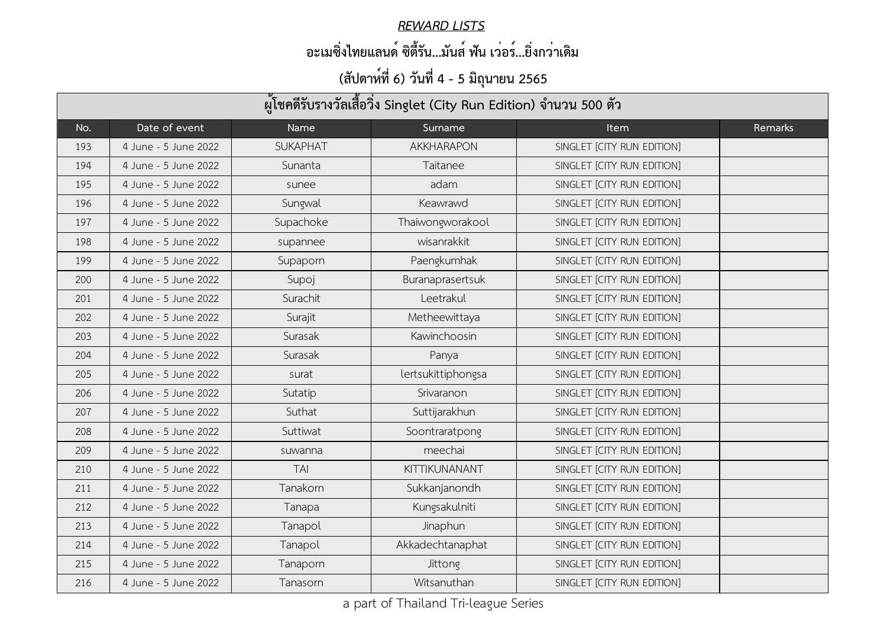#### *REWARD LISTS*

### **อะเมซิ่งไทยแลนด์ ซิตี้รัน...มันส์ ฟัน เว่อร์...ยิ่งกว่าเดิม**

| ผู้โชคดีรับรางวัลเสื้อวิ่ง Singlet (City Run Edition) จำนวน 500 ตัว |                      |                 |                    |                            |                |  |  |
|---------------------------------------------------------------------|----------------------|-----------------|--------------------|----------------------------|----------------|--|--|
| No.                                                                 | Date of event        | Name            | Surname            | <b>Item</b>                | <b>Remarks</b> |  |  |
| 193                                                                 | 4 June - 5 June 2022 | <b>SUKAPHAT</b> | <b>AKKHARAPON</b>  | SINGLET [CITY RUN EDITION] |                |  |  |
| 194                                                                 | 4 June - 5 June 2022 | Sunanta         | Taitanee           | SINGLET [CITY RUN EDITION] |                |  |  |
| 195                                                                 | 4 June - 5 June 2022 | sunee           | adam               | SINGLET [CITY RUN EDITION] |                |  |  |
| 196                                                                 | 4 June - 5 June 2022 | Sungwal         | Keawrawd           | SINGLET [CITY RUN EDITION] |                |  |  |
| 197                                                                 | 4 June - 5 June 2022 | Supachoke       | Thaiwongworakool   | SINGLET [CITY RUN EDITION] |                |  |  |
| 198                                                                 | 4 June - 5 June 2022 | supannee        | wisanrakkit        | SINGLET [CITY RUN EDITION] |                |  |  |
| 199                                                                 | 4 June - 5 June 2022 | Supaporn        | Paengkumhak        | SINGLET [CITY RUN EDITION] |                |  |  |
| 200                                                                 | 4 June - 5 June 2022 | Supoj           | Buranaprasertsuk   | SINGLET [CITY RUN EDITION] |                |  |  |
| 201                                                                 | 4 June - 5 June 2022 | Surachit        | Leetrakul          | SINGLET [CITY RUN EDITION] |                |  |  |
| 202                                                                 | 4 June - 5 June 2022 | Surajit         | Metheewittaya      | SINGLET [CITY RUN EDITION] |                |  |  |
| 203                                                                 | 4 June - 5 June 2022 | Surasak         | Kawinchoosin       | SINGLET [CITY RUN EDITION] |                |  |  |
| 204                                                                 | 4 June - 5 June 2022 | Surasak         | Panya              | SINGLET [CITY RUN EDITION] |                |  |  |
| 205                                                                 | 4 June - 5 June 2022 | surat           | lertsukittiphongsa | SINGLET [CITY RUN EDITION] |                |  |  |
| 206                                                                 | 4 June - 5 June 2022 | Sutatip         | Srivaranon         | SINGLET [CITY RUN EDITION] |                |  |  |
| 207                                                                 | 4 June - 5 June 2022 | Suthat          | Suttijarakhun      | SINGLET [CITY RUN EDITION] |                |  |  |
| 208                                                                 | 4 June - 5 June 2022 | Suttiwat        | Soontraratpong     | SINGLET [CITY RUN EDITION] |                |  |  |
| 209                                                                 | 4 June - 5 June 2022 | suwanna         | meechai            | SINGLET [CITY RUN EDITION] |                |  |  |
| 210                                                                 | 4 June - 5 June 2022 | <b>TAI</b>      | KITTIKUNANANT      | SINGLET [CITY RUN EDITION] |                |  |  |
| 211                                                                 | 4 June - 5 June 2022 | Tanakorn        | Sukkanjanondh      | SINGLET [CITY RUN EDITION] |                |  |  |
| 212                                                                 | 4 June - 5 June 2022 | Tanapa          | Kungsakulniti      | SINGLET [CITY RUN EDITION] |                |  |  |
| 213                                                                 | 4 June - 5 June 2022 | Tanapol         | Jinaphun           | SINGLET [CITY RUN EDITION] |                |  |  |
| 214                                                                 | 4 June - 5 June 2022 | Tanapol         | Akkadechtanaphat   | SINGLET [CITY RUN EDITION] |                |  |  |
| 215                                                                 | 4 June - 5 June 2022 | Tanaporn        | <b>Jittong</b>     | SINGLET [CITY RUN EDITION] |                |  |  |
| 216                                                                 | 4 June - 5 June 2022 | Tanasorn        | Witsanuthan        | SINGLET [CITY RUN EDITION] |                |  |  |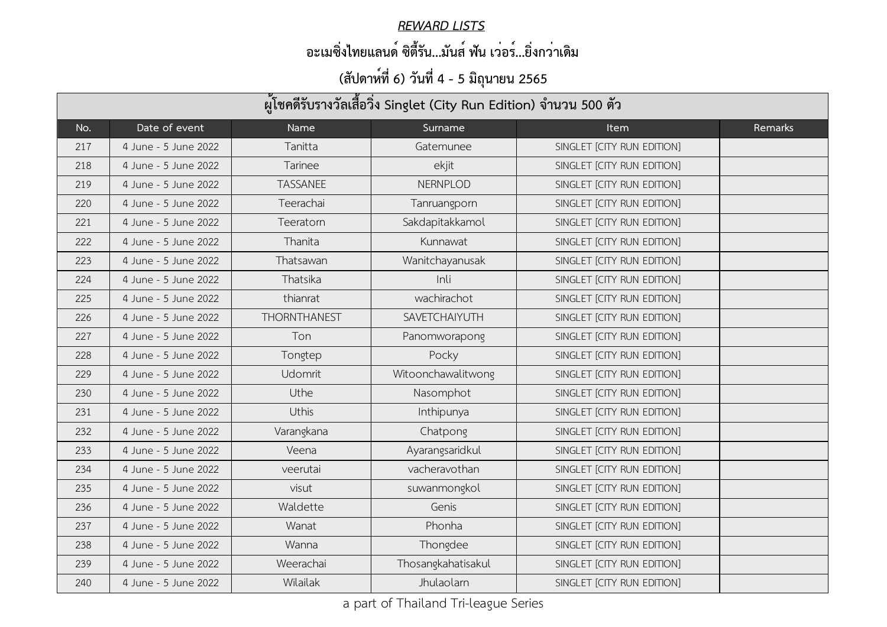#### *REWARD LISTS*

### **อะเมซิ่งไทยแลนด์ ซิตี้รัน...มันส์ ฟัน เว่อร์...ยิ่งกว่าเดิม**

| ผู้โชคดีรับรางวัลเสื้อวิ่ง Singlet (City Run Edition) จำนวน 500 ตัว |                      |                     |                    |                            |         |  |  |
|---------------------------------------------------------------------|----------------------|---------------------|--------------------|----------------------------|---------|--|--|
| No.                                                                 | Date of event        | Name                | Surname            | <b>Item</b>                | Remarks |  |  |
| 217                                                                 | 4 June - 5 June 2022 | Tanitta             | Gatemunee          | SINGLET [CITY RUN EDITION] |         |  |  |
| 218                                                                 | 4 June - 5 June 2022 | <b>Tarinee</b>      | ekjit              | SINGLET [CITY RUN EDITION] |         |  |  |
| 219                                                                 | 4 June - 5 June 2022 | <b>TASSANEE</b>     | <b>NERNPLOD</b>    | SINGLET [CITY RUN EDITION] |         |  |  |
| 220                                                                 | 4 June - 5 June 2022 | Teerachai           | Tanruangporn       | SINGLET [CITY RUN EDITION] |         |  |  |
| 221                                                                 | 4 June - 5 June 2022 | Teeratorn           | Sakdapitakkamol    | SINGLET [CITY RUN EDITION] |         |  |  |
| 222                                                                 | 4 June - 5 June 2022 | Thanita             | Kunnawat           | SINGLET [CITY RUN EDITION] |         |  |  |
| 223                                                                 | 4 June - 5 June 2022 | Thatsawan           | Wanitchayanusak    | SINGLET [CITY RUN EDITION] |         |  |  |
| 224                                                                 | 4 June - 5 June 2022 | Thatsika            | Inli               | SINGLET [CITY RUN EDITION] |         |  |  |
| 225                                                                 | 4 June - 5 June 2022 | thianrat            | wachirachot        | SINGLET [CITY RUN EDITION] |         |  |  |
| 226                                                                 | 4 June - 5 June 2022 | <b>THORNTHANEST</b> | SAVETCHAIYUTH      | SINGLET [CITY RUN EDITION] |         |  |  |
| 227                                                                 | 4 June - 5 June 2022 | Ton                 | Panomworapong      | SINGLET [CITY RUN EDITION] |         |  |  |
| 228                                                                 | 4 June - 5 June 2022 | Tongtep             | Pocky              | SINGLET [CITY RUN EDITION] |         |  |  |
| 229                                                                 | 4 June - 5 June 2022 | <b>Udomrit</b>      | Witoonchawalitwong | SINGLET [CITY RUN EDITION] |         |  |  |
| 230                                                                 | 4 June - 5 June 2022 | Uthe                | Nasomphot          | SINGLET [CITY RUN EDITION] |         |  |  |
| 231                                                                 | 4 June - 5 June 2022 | <b>Uthis</b>        | Inthipunya         | SINGLET [CITY RUN EDITION] |         |  |  |
| 232                                                                 | 4 June - 5 June 2022 | Varangkana          | Chatpong           | SINGLET [CITY RUN EDITION] |         |  |  |
| 233                                                                 | 4 June - 5 June 2022 | Veena               | Ayarangsaridkul    | SINGLET [CITY RUN EDITION] |         |  |  |
| 234                                                                 | 4 June - 5 June 2022 | veerutai            | vacheravothan      | SINGLET [CITY RUN EDITION] |         |  |  |
| 235                                                                 | 4 June - 5 June 2022 | visut               | suwanmongkol       | SINGLET [CITY RUN EDITION] |         |  |  |
| 236                                                                 | 4 June - 5 June 2022 | Waldette            | Genis              | SINGLET [CITY RUN EDITION] |         |  |  |
| 237                                                                 | 4 June - 5 June 2022 | Wanat               | Phonha             | SINGLET [CITY RUN EDITION] |         |  |  |
| 238                                                                 | 4 June - 5 June 2022 | Wanna               | Thongdee           | SINGLET [CITY RUN EDITION] |         |  |  |
| 239                                                                 | 4 June - 5 June 2022 | Weerachai           | Thosangkahatisakul | SINGLET [CITY RUN EDITION] |         |  |  |
| 240                                                                 | 4 June - 5 June 2022 | Wilailak            | Jhulaolarn         | SINGLET [CITY RUN EDITION] |         |  |  |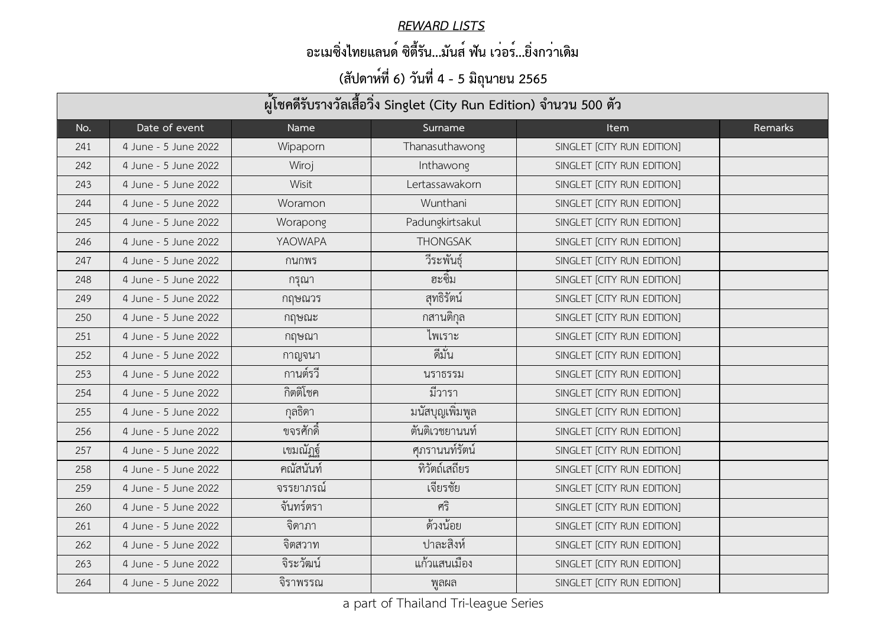#### *REWARD LISTS*

### **อะเมซิ่งไทยแลนด์ ซิตี้รัน...มันส์ ฟัน เว่อร์...ยิ่งกว่าเดิม**

| ผู้โชคดีรับรางวัลเสื้อวิ่ง Singlet (City Run Edition) จำนวน 500 ตัว |                      |                  |                  |                            |                |  |  |
|---------------------------------------------------------------------|----------------------|------------------|------------------|----------------------------|----------------|--|--|
| No.                                                                 | Date of event        | Name             | Surname          | <b>Item</b>                | <b>Remarks</b> |  |  |
| 241                                                                 | 4 June - 5 June 2022 | Wipaporn         | Thanasuthawong   | SINGLET [CITY RUN EDITION] |                |  |  |
| 242                                                                 | 4 June - 5 June 2022 | Wiroj            | Inthawong        | SINGLET [CITY RUN EDITION] |                |  |  |
| 243                                                                 | 4 June - 5 June 2022 | Wisit            | Lertassawakorn   | SINGLET [CITY RUN EDITION] |                |  |  |
| 244                                                                 | 4 June - 5 June 2022 | Woramon          | Wunthani         | SINGLET [CITY RUN EDITION] |                |  |  |
| 245                                                                 | 4 June - 5 June 2022 | Worapong         | Padungkirtsakul  | SINGLET [CITY RUN EDITION] |                |  |  |
| 246                                                                 | 4 June - 5 June 2022 | YAOWAPA          | <b>THONGSAK</b>  | SINGLET [CITY RUN EDITION] |                |  |  |
| 247                                                                 | 4 June - 5 June 2022 | ึกนกพร           | วีระพันธุ์       | SINGLET [CITY RUN EDITION] |                |  |  |
| 248                                                                 | 4 June - 5 June 2022 | ิกรุณา           | ฮะซิม            | SINGLET [CITY RUN EDITION] |                |  |  |
| 249                                                                 | 4 June - 5 June 2022 | กฤษณวร           | สุทธิรัตน์       | SINGLET [CITY RUN EDITION] |                |  |  |
| 250                                                                 | 4 June - 5 June 2022 | กฤษณะ            | กสานติกุล        | SINGLET [CITY RUN EDITION] |                |  |  |
| 251                                                                 | 4 June - 5 June 2022 | กฤษณา            | ไพเราะ           | SINGLET [CITY RUN EDITION] |                |  |  |
| 252                                                                 | 4 June - 5 June 2022 | กาญจนา           | ดีมัน            | SINGLET [CITY RUN EDITION] |                |  |  |
| 253                                                                 | 4 June - 5 June 2022 | กานต์รวี         | นราธรรม          | SINGLET [CITY RUN EDITION] |                |  |  |
| 254                                                                 | 4 June - 5 June 2022 | กิตติโชค         | มีวารา           | SINGLET [CITY RUN EDITION] |                |  |  |
| 255                                                                 | 4 June - 5 June 2022 | กุลธิดา          | มนัสบุญเพิ่มพูล  | SINGLET [CITY RUN EDITION] |                |  |  |
| 256                                                                 | 4 June - 5 June 2022 | ขจรศักดิ์        | ์ตั้นติเวชยานนท์ | SINGLET [CITY RUN EDITION] |                |  |  |
| 257                                                                 | 4 June - 5 June 2022 | เขมณัฏฐ์         | ศุภรานนท์รัตน์   | SINGLET [CITY RUN EDITION] |                |  |  |
| 258                                                                 | 4 June - 5 June 2022 | คณัสนันท์        | ทิวัตถ์เสถียร    | SINGLET [CITY RUN EDITION] |                |  |  |
| 259                                                                 | 4 June - 5 June 2022 | <u>จรรยาภรณ์</u> | เจียรชัย         | SINGLET [CITY RUN EDITION] |                |  |  |
| 260                                                                 | 4 June - 5 June 2022 | จันทร์ตรา        | ศริ              | SINGLET [CITY RUN EDITION] |                |  |  |
| 261                                                                 | 4 June - 5 June 2022 | จิดาภา           | ด้วงน้อย         | SINGLET [CITY RUN EDITION] |                |  |  |
| 262                                                                 | 4 June - 5 June 2022 | จิตสวาท          | ปาละสิงห์        | SINGLET [CITY RUN EDITION] |                |  |  |
| 263                                                                 | 4 June - 5 June 2022 | จิระวัฒน์        | แก้วแสนเมือง     | SINGLET [CITY RUN EDITION] |                |  |  |
| 264                                                                 | 4 June - 5 June 2022 | จิราพรรณ         | พูลผล            | SINGLET [CITY RUN EDITION] |                |  |  |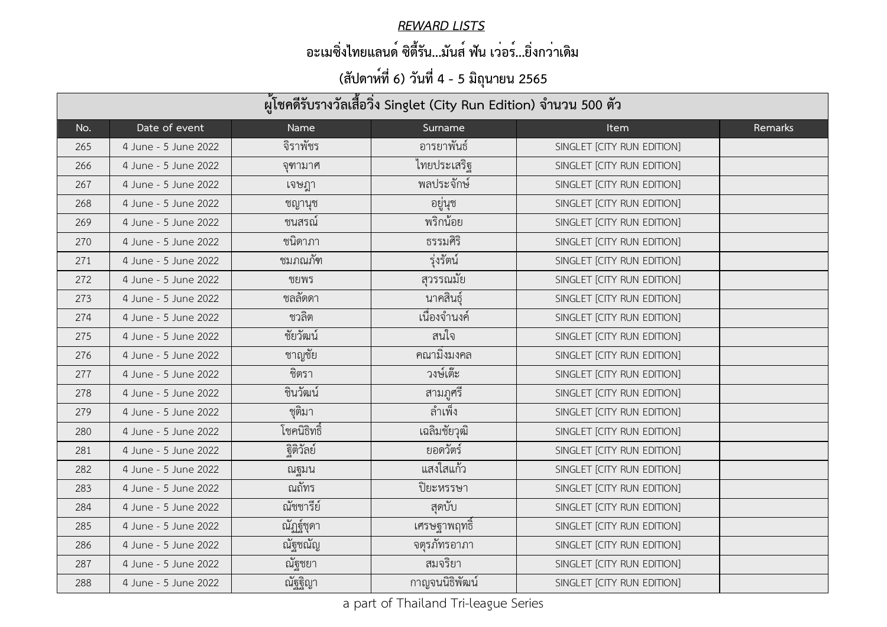#### *REWARD LISTS*

### **อะเมซิ่งไทยแลนด์ ซิตี้รัน...มันส์ ฟัน เว่อร์...ยิ่งกว่าเดิม**

| ผู้โชคดีรับรางวัลเสื้อวิ่ง Singlet (City Run Edition) จำนวน 500 ตัว |                      |             |                |                            |         |  |  |
|---------------------------------------------------------------------|----------------------|-------------|----------------|----------------------------|---------|--|--|
| No.                                                                 | Date of event        | Name        | Surname        | <b>Item</b>                | Remarks |  |  |
| 265                                                                 | 4 June - 5 June 2022 | จิราพัชร    | อารยาพันธ์     | SINGLET [CITY RUN EDITION] |         |  |  |
| 266                                                                 | 4 June - 5 June 2022 | จุฑามาศ     | ไทยประเสริฐ    | SINGLET [CITY RUN EDITION] |         |  |  |
| 267                                                                 | 4 June - 5 June 2022 | เจษฎา       | พลประจักษ์     | SINGLET [CITY RUN EDITION] |         |  |  |
| 268                                                                 | 4 June - 5 June 2022 | ชญานุช      | อยู่นุช        | SINGLET [CITY RUN EDITION] |         |  |  |
| 269                                                                 | 4 June - 5 June 2022 | ชนสรณ์      | พริกน้อย       | SINGLET [CITY RUN EDITION] |         |  |  |
| 270                                                                 | 4 June - 5 June 2022 | ชนิดาภา     | ธรรมศิริ       | SINGLET [CITY RUN EDITION] |         |  |  |
| 271                                                                 | 4 June - 5 June 2022 | ชมภณภัฑ     | รุ่งรัตน์      | SINGLET [CITY RUN EDITION] |         |  |  |
| 272                                                                 | 4 June - 5 June 2022 | ชยพร        | ี<br>สุวรรณมัย | SINGLET [CITY RUN EDITION] |         |  |  |
| 273                                                                 | 4 June - 5 June 2022 | ชลลัดดา     | นาคสินธุ์      | SINGLET [CITY RUN EDITION] |         |  |  |
| 274                                                                 | 4 June - 5 June 2022 | ชวลิต       | เนื่องจำนงค์   | SINGLET [CITY RUN EDITION] |         |  |  |
| 275                                                                 | 4 June - 5 June 2022 | ชัยวัฒน์    | ิสนใจ          | SINGLET [CITY RUN EDITION] |         |  |  |
| 276                                                                 | 4 June - 5 June 2022 | ชาญชัย      | ึคณามิงมงคล    | SINGLET [CITY RUN EDITION] |         |  |  |
| 277                                                                 | 4 June - 5 June 2022 | ชิตรา       | วงษ์เต๊ะ       | SINGLET [CITY RUN EDITION] |         |  |  |
| 278                                                                 | 4 June - 5 June 2022 | ชินวัฒน์    | สามภูศรี       | SINGLET [CITY RUN EDITION] |         |  |  |
| 279                                                                 | 4 June - 5 June 2022 | ชุติมา      | ลำเพ็ง         | SINGLET [CITY RUN EDITION] |         |  |  |
| 280                                                                 | 4 June - 5 June 2022 | โชคนิธิทธิ์ | เฉลิมชัยวุฒิ   | SINGLET [CITY RUN EDITION] |         |  |  |
| 281                                                                 | 4 June - 5 June 2022 | ฐิติวัลย์   | ยอดวัตร์       | SINGLET [CITY RUN EDITION] |         |  |  |
| 282                                                                 | 4 June - 5 June 2022 | ณฐมน        | แสงใสแก้ว      | SINGLET [CITY RUN EDITION] |         |  |  |
| 283                                                                 | 4 June - 5 June 2022 | ณถัทร       | ปิยะหรรษา      | SINGLET [CITY RUN EDITION] |         |  |  |
| 284                                                                 | 4 June - 5 June 2022 | ณัชชารีย์   | สุดบับ         | SINGLET [CITY RUN EDITION] |         |  |  |
| 285                                                                 | 4 June - 5 June 2022 | ณัฏฐ์ชุดา   | เศรษฐาพฤทธิ    | SINGLET [CITY RUN EDITION] |         |  |  |
| 286                                                                 | 4 June - 5 June 2022 | ณัฐชณัญ     | จตุรภัทรอาภา   | SINGLET [CITY RUN EDITION] |         |  |  |
| 287                                                                 | 4 June - 5 June 2022 | ณัฐชยา      | สมจริยา        | SINGLET [CITY RUN EDITION] |         |  |  |
| 288                                                                 | 4 June - 5 June 2022 | ณัฐฐิญา     | กาญจนนิธิพัฒน์ | SINGLET [CITY RUN EDITION] |         |  |  |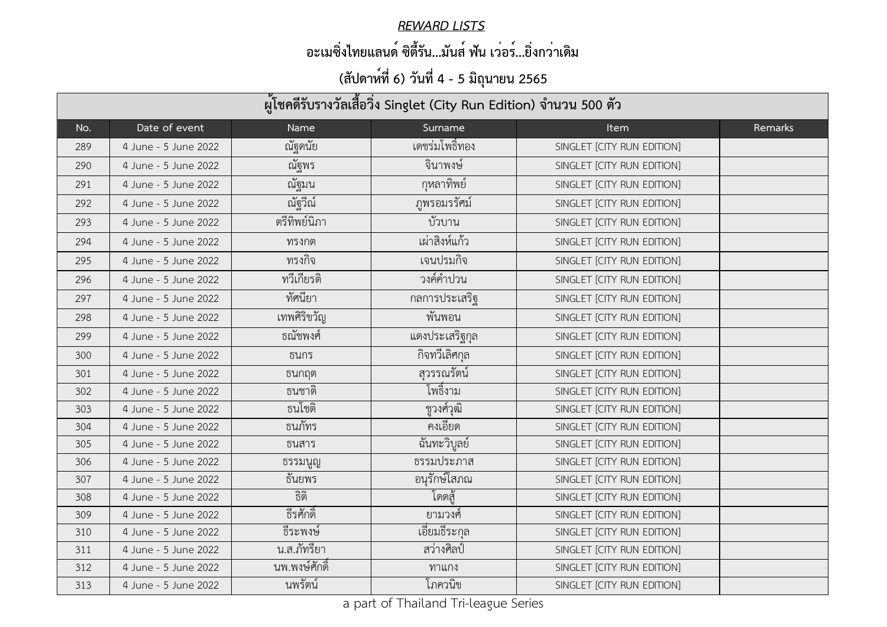#### *REWARD LISTS*

### **อะเมซิ่งไทยแลนด์ ซิตี้รัน...มันส์ ฟัน เว่อร์...ยิ่งกว่าเดิม**

| ผู้โชคดีรับรางวัลเสื้อวิ่ง Singlet (City Run Edition) จำนวน 500 ตัว |                      |                |                 |                            |                |  |
|---------------------------------------------------------------------|----------------------|----------------|-----------------|----------------------------|----------------|--|
| No.                                                                 | Date of event        | Name           | Surname         | <b>Item</b>                | <b>Remarks</b> |  |
| 289                                                                 | 4 June - 5 June 2022 | ณัฐดนัย        | เดชรมโพธิ์ทอง   | SINGLET [CITY RUN EDITION] |                |  |
| 290                                                                 | 4 June - 5 June 2022 | ณัฐพร          | จินาพงษ์        | SINGLET [CITY RUN EDITION] |                |  |
| 291                                                                 | 4 June - 5 June 2022 | ณัฐมน          | กุหลาทิพย์      | SINGLET [CITY RUN EDITION] |                |  |
| 292                                                                 | 4 June - 5 June 2022 | ณัฐวีณ์        | ภูพรอมรรัศม์    | SINGLET [CITY RUN EDITION] |                |  |
| 293                                                                 | 4 June - 5 June 2022 | ตรีทิพย์นิภา   | บัวบาน          | SINGLET [CITY RUN EDITION] |                |  |
| 294                                                                 | 4 June - 5 June 2022 | ทรงกต          | เผ่าสิงห์แก้ว   | SINGLET [CITY RUN EDITION] |                |  |
| 295                                                                 | 4 June - 5 June 2022 | ทรงกิจ         | เจนปรมกิจ       | SINGLET [CITY RUN EDITION] |                |  |
| 296                                                                 | 4 June - 5 June 2022 | ทวีเกียรติ     | วงค์คำปวน       | SINGLET [CITY RUN EDITION] |                |  |
| 297                                                                 | 4 June - 5 June 2022 | ทัศนียา        | กลการประเสริฐ   | SINGLET [CITY RUN EDITION] |                |  |
| 298                                                                 | 4 June - 5 June 2022 | เทพศิริขวัญ    | พันพอน          | SINGLET [CITY RUN EDITION] |                |  |
| 299                                                                 | 4 June - 5 June 2022 | ธณัชพงศ์       | แดงประเสริฐกุล  | SINGLET [CITY RUN EDITION] |                |  |
| 300                                                                 | 4 June - 5 June 2022 | ธนกร           | กิจทวีเลิศกุล   | SINGLET [CITY RUN EDITION] |                |  |
| 301                                                                 | 4 June - 5 June 2022 | ธนกฤต          | สุวรรณรัตน์     | SINGLET [CITY RUN EDITION] |                |  |
| 302                                                                 | 4 June - 5 June 2022 | ธนชาติ         | โพธิ์งาม        | SINGLET [CITY RUN EDITION] |                |  |
| 303                                                                 | 4 June - 5 June 2022 | ธนโชติ         | ชูวงศ์วุฒิ      | SINGLET [CITY RUN EDITION] |                |  |
| 304                                                                 | 4 June - 5 June 2022 | ธนภัทร         | คงเอียด         | SINGLET [CITY RUN EDITION] |                |  |
| 305                                                                 | 4 June - 5 June 2022 | ธนสาร          | ฉันทะวิบูลย์    | SINGLET [CITY RUN EDITION] |                |  |
| 306                                                                 | 4 June - 5 June 2022 | ธรรมนูญ        | ธรรมประภาส      | SINGLET [CITY RUN EDITION] |                |  |
| 307                                                                 | 4 June - 5 June 2022 | ธันยพร         | อนุรักษ์โสภณ    | SINGLET [CITY RUN EDITION] |                |  |
| 308                                                                 | 4 June - 5 June 2022 | ธิติ           | โดดส้           | SINGLET [CITY RUN EDITION] |                |  |
| 309                                                                 | 4 June - 5 June 2022 | ธีรศักดิ์      | ยามวงศ <u>์</u> | SINGLET [CITY RUN EDITION] |                |  |
| 310                                                                 | 4 June - 5 June 2022 | ธีระพงษ์       | เอียมธีระกุล    | SINGLET [CITY RUN EDITION] |                |  |
| 311                                                                 | 4 June - 5 June 2022 | น.ส.ภัทรียา    | สว่างศิลป์      | SINGLET [CITY RUN EDITION] |                |  |
| 312                                                                 | 4 June - 5 June 2022 | ็นพ.พงษ์ศักดิ์ | ทาแกง           | SINGLET [CITY RUN EDITION] |                |  |
| 313                                                                 | 4 June - 5 June 2022 | ินพรัตน์       | โภควนิข         | SINGLET [CITY RUN EDITION] |                |  |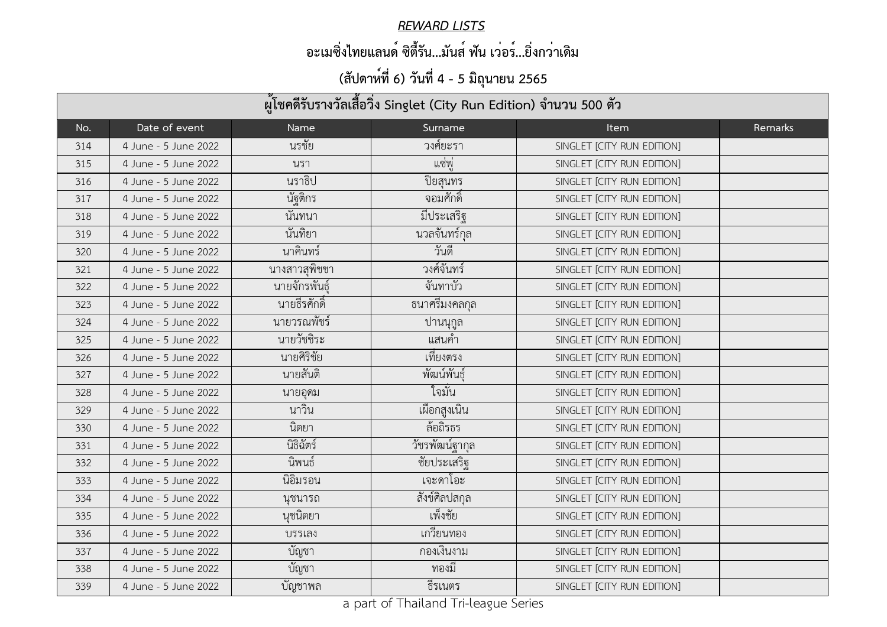#### *REWARD LISTS*

### **อะเมซิ่งไทยแลนด์ ซิตี้รัน...มันส์ ฟัน เว่อร์...ยิ่งกว่าเดิม**

| ้ผู้โชคดีรับรางวัลเสื้อวิ่ง Singlet (City Run Edition) จำนวน 500 ตัว |                      |               |                     |                            |         |
|----------------------------------------------------------------------|----------------------|---------------|---------------------|----------------------------|---------|
| No.                                                                  | Date of event        | <b>Name</b>   | Surname             | <b>Item</b>                | Remarks |
| 314                                                                  | 4 June - 5 June 2022 | นรชัย         | วงศ์ยะรา            | SINGLET [CITY RUN EDITION] |         |
| 315                                                                  | 4 June - 5 June 2022 | นรา           | แซพู                | SINGLET [CITY RUN EDITION] |         |
| 316                                                                  | 4 June - 5 June 2022 | นราธิป        | ปิยสุนทร            | SINGLET [CITY RUN EDITION] |         |
| 317                                                                  | 4 June - 5 June 2022 | นัฐติกร       | ้จอมศักดิ์          | SINGLET [CITY RUN EDITION] |         |
| 318                                                                  | 4 June - 5 June 2022 | นันทนา        | มีประเสริฐ          | SINGLET [CITY RUN EDITION] |         |
| 319                                                                  | 4 June - 5 June 2022 | นันทิยา       | นวลจันทร์กุล        | SINGLET [CITY RUN EDITION] |         |
| 320                                                                  | 4 June - 5 June 2022 | นาคินทร์      | วันดี               | SINGLET [CITY RUN EDITION] |         |
| 321                                                                  | 4 June - 5 June 2022 | นางสาวสุพิชชา | วงศ์จันทร์          | SINGLET [CITY RUN EDITION] |         |
| 322                                                                  | 4 June - 5 June 2022 | นายจักรพันธุ์ | จันทาบัว            | SINGLET [CITY RUN EDITION] |         |
| 323                                                                  | 4 June - 5 June 2022 | นายธีรศักดิ์  | ธนาศรีมงคลกุล       | SINGLET [CITY RUN EDITION] |         |
| 324                                                                  | 4 June - 5 June 2022 | นายวรณพัชร์   | ู ปานนุกูล <i>ิ</i> | SINGLET [CITY RUN EDITION] |         |
| 325                                                                  | 4 June - 5 June 2022 | นายวัชชิระ    | แสนค้า              | SINGLET [CITY RUN EDITION] |         |
| 326                                                                  | 4 June - 5 June 2022 | นายศิริชัย    | เทียงตรง            | SINGLET [CITY RUN EDITION] |         |
| 327                                                                  | 4 June - 5 June 2022 | นายสันติ      | พัฒน์พันธุ์         | SINGLET [CITY RUN EDITION] |         |
| 328                                                                  | 4 June - 5 June 2022 | นายอุดม       | ใจมัน               | SINGLET [CITY RUN EDITION] |         |
| 329                                                                  | 4 June - 5 June 2022 | นาวน          | เผือกสูงเนิน        | SINGLET [CITY RUN EDITION] |         |
| 330                                                                  | 4 June - 5 June 2022 | นิตยา         | ล้อถิรธร            | SINGLET [CITY RUN EDITION] |         |
| 331                                                                  | 4 June - 5 June 2022 | นิธิฉัตร์     | วัชรพัฒน์ฐากุล      | SINGLET [CITY RUN EDITION] |         |
| 332                                                                  | 4 June - 5 June 2022 | นิพนธ์        | ชัยประเสริฐ         | SINGLET [CITY RUN EDITION] |         |
| 333                                                                  | 4 June - 5 June 2022 | นิอิมรอน      | เจะดาโอะ            | SINGLET [CITY RUN EDITION] |         |
| 334                                                                  | 4 June - 5 June 2022 | นชนารถ        | สังข์ศิลปสกุล       | SINGLET [CITY RUN EDITION] |         |
| 335                                                                  | 4 June - 5 June 2022 | นุชนิตยา      | เพ็งชัย             | SINGLET [CITY RUN EDITION] |         |
| 336                                                                  | 4 June - 5 June 2022 | บรรเลง        | เกวียนทอง           | SINGLET [CITY RUN EDITION] |         |
| 337                                                                  | 4 June - 5 June 2022 | บัญชา         | กองเงินงาม          | SINGLET [CITY RUN EDITION] |         |
| 338                                                                  | 4 June - 5 June 2022 | บัญชา         | ทองมี               | SINGLET [CITY RUN EDITION] |         |
| 339                                                                  | 4 June - 5 June 2022 | บัญชาพล       | ธิรเนตร             | SINGLET [CITY RUN EDITION] |         |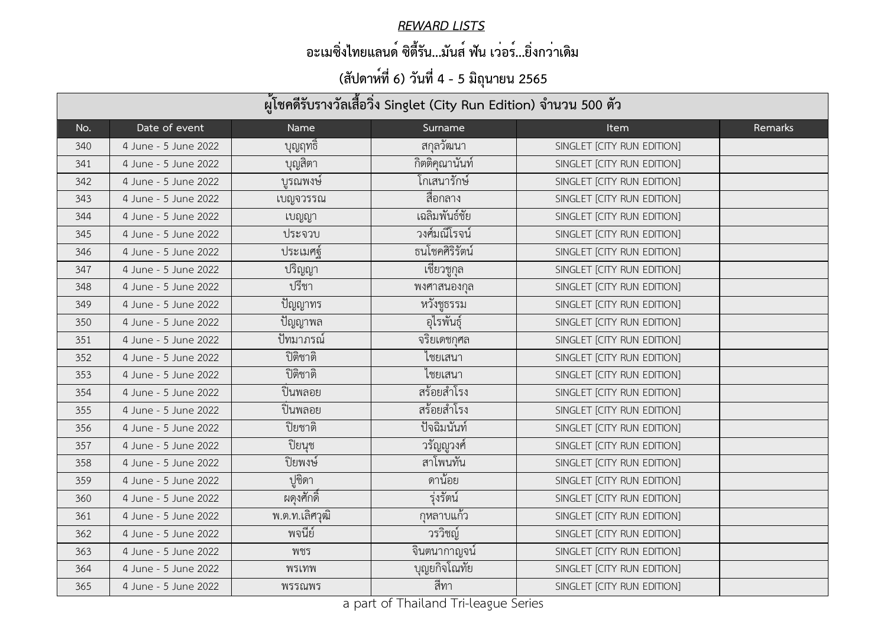#### *REWARD LISTS*

### **อะเมซิ่งไทยแลนด์ ซิตี้รัน...มันส์ ฟัน เว่อร์...ยิ่งกว่าเดิม**

| ผู้โชคดีรับรางวัลเสื้อวิ่ง Singlet (City Run Edition) จำนวน 500 ตัว |                      |                |                |                            |         |  |
|---------------------------------------------------------------------|----------------------|----------------|----------------|----------------------------|---------|--|
| No.                                                                 | Date of event        | Name           | Surname        | <b>Item</b>                | Remarks |  |
| 340                                                                 | 4 June - 5 June 2022 | บุญฤทธิ        | ิสกุลวัฒนา     | SINGLET [CITY RUN EDITION] |         |  |
| 341                                                                 | 4 June - 5 June 2022 | บุญสิตา        | กิตติคุณานันท์ | SINGLET [CITY RUN EDITION] |         |  |
| 342                                                                 | 4 June - 5 June 2022 | บูรณพงษ์       | โกเสนารักษ์    | SINGLET [CITY RUN EDITION] |         |  |
| 343                                                                 | 4 June - 5 June 2022 | เบญจวรรณ       | สือกลาง        | SINGLET [CITY RUN EDITION] |         |  |
| 344                                                                 | 4 June - 5 June 2022 | เบญญา          | เฉลิมพันธ์ชัย  | SINGLET [CITY RUN EDITION] |         |  |
| 345                                                                 | 4 June - 5 June 2022 | ประจวบ         | วงศ์มณีโรจน์   | SINGLET [CITY RUN EDITION] |         |  |
| 346                                                                 | 4 June - 5 June 2022 | ประเมศฐ์       | ธนโชคศิริรัตน์ | SINGLET [CITY RUN EDITION] |         |  |
| 347                                                                 | 4 June - 5 June 2022 | ปริญญา         | เชียวชูกุล     | SINGLET [CITY RUN EDITION] |         |  |
| 348                                                                 | 4 June - 5 June 2022 | ปรีชา          | พงศาสนองกุล    | SINGLET [CITY RUN EDITION] |         |  |
| 349                                                                 | 4 June - 5 June 2022 | ปัญญาทร        | หวังชูธรรม     | SINGLET [CITY RUN EDITION] |         |  |
| 350                                                                 | 4 June - 5 June 2022 | ปัญญาพล        | อุไรพันธุ์     | SINGLET [CITY RUN EDITION] |         |  |
| 351                                                                 | 4 June - 5 June 2022 | ปัทมาภรณ์      | จริยเดชกุศล    | SINGLET [CITY RUN EDITION] |         |  |
| 352                                                                 | 4 June - 5 June 2022 | ปิติชาติ       | ไชยเสนา        | SINGLET [CITY RUN EDITION] |         |  |
| 353                                                                 | 4 June - 5 June 2022 | ปิติชาติ       | ไชยเสนา        | SINGLET [CITY RUN EDITION] |         |  |
| 354                                                                 | 4 June - 5 June 2022 | ปินพลอย        | สร้อยสำโรง     | SINGLET [CITY RUN EDITION] |         |  |
| 355                                                                 | 4 June - 5 June 2022 | ปินพลอย        | สร้อยสำโรง     | SINGLET [CITY RUN EDITION] |         |  |
| 356                                                                 | 4 June - 5 June 2022 | ปิยชาติ        | ปัจฉิมนันท์    | SINGLET [CITY RUN EDITION] |         |  |
| 357                                                                 | 4 June - 5 June 2022 | ปิยนุช         | วรัญญูวงศ์     | SINGLET [CITY RUN EDITION] |         |  |
| 358                                                                 | 4 June - 5 June 2022 | ปิยพงษ์        | สาโพนทัน       | SINGLET [CITY RUN EDITION] |         |  |
| 359                                                                 | 4 June - 5 June 2022 | ปูชิดา         | ดานอย          | SINGLET [CITY RUN EDITION] |         |  |
| 360                                                                 | 4 June - 5 June 2022 | ผดุงศักดิ์     | รุงรัตน์       | SINGLET [CITY RUN EDITION] |         |  |
| 361                                                                 | 4 June - 5 June 2022 | พ.ต.ท.เลิศวุฒิ | ้กุหลาบแก้ว    | SINGLET [CITY RUN EDITION] |         |  |
| 362                                                                 | 4 June - 5 June 2022 | พจนีย์         | วรวิชญ์        | SINGLET [CITY RUN EDITION] |         |  |
| 363                                                                 | 4 June - 5 June 2022 | พชร            | จินตนากาญจน    | SINGLET [CITY RUN EDITION] |         |  |
| 364                                                                 | 4 June - 5 June 2022 | พรเทพ          | บุญยกิจโณทัย   | SINGLET [CITY RUN EDITION] |         |  |
| 365                                                                 | 4 June - 5 June 2022 | พรรณพร         | สีทา           | SINGLET [CITY RUN EDITION] |         |  |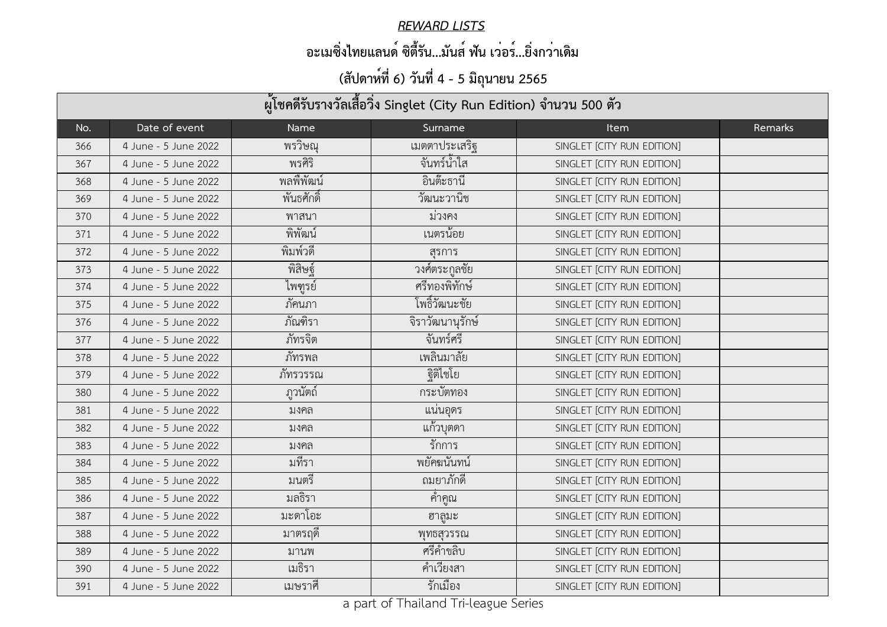#### *REWARD LISTS*

### **อะเมซิ่งไทยแลนด์ ซิตี้รัน...มันส์ ฟัน เว่อร์...ยิ่งกว่าเดิม**

| ผู้โชคดีรับรางวัลเสื้อวิ่ง Singlet (City Run Edition) จำนวน 500 ตัว |                      |             |                      |                            |                |  |
|---------------------------------------------------------------------|----------------------|-------------|----------------------|----------------------------|----------------|--|
| No.                                                                 | Date of event        | <b>Name</b> | Surname              | <b>Item</b>                | <b>Remarks</b> |  |
| 366                                                                 | 4 June - 5 June 2022 | พรวิษณุ     | เมตตาประเสริฐ        | SINGLET [CITY RUN EDITION] |                |  |
| 367                                                                 | 4 June - 5 June 2022 | พรศิริ      | จันทร์น้ำใส          | SINGLET [CITY RUN EDITION] |                |  |
| 368                                                                 | 4 June - 5 June 2022 | พลพืพัฒน์   | อินต๊ะธานี           | SINGLET [CITY RUN EDITION] |                |  |
| 369                                                                 | 4 June - 5 June 2022 | พันธศักดิ์  | วัฒนะวานิช           | SINGLET [CITY RUN EDITION] |                |  |
| 370                                                                 | 4 June - 5 June 2022 | พาสนา       | มวงคง                | SINGLET [CITY RUN EDITION] |                |  |
| 371                                                                 | 4 June - 5 June 2022 | พิพัฒน์     | เนตรน์อย             | SINGLET [CITY RUN EDITION] |                |  |
| 372                                                                 | 4 June - 5 June 2022 | พิมพ์วดี    | ิสรการ               | SINGLET [CITY RUN EDITION] |                |  |
| 373                                                                 | 4 June - 5 June 2022 | พิสิษฐ์     | วงศ์ตระกูลชัย        | SINGLET [CITY RUN EDITION] |                |  |
| 374                                                                 | 4 June - 5 June 2022 | ไพฑูรย์     | ศรีทองพิทักษ์        | SINGLET [CITY RUN EDITION] |                |  |
| 375                                                                 | 4 June - 5 June 2022 | ภัคนภา      | โพธิ์วัฒนะชัย        | SINGLET [CITY RUN EDITION] |                |  |
| 376                                                                 | 4 June - 5 June 2022 | ภัณฑิรา     | จิราวัฒนานุรักษ์     | SINGLET [CITY RUN EDITION] |                |  |
| 377                                                                 | 4 June - 5 June 2022 | ภัทรจิต     | จันทร์ศรี            | SINGLET [CITY RUN EDITION] |                |  |
| 378                                                                 | 4 June - 5 June 2022 | ภัทรพล      | เพลินมาลัย           | SINGLET [CITY RUN EDITION] |                |  |
| 379                                                                 | 4 June - 5 June 2022 | ภัทรวรรณ    | ฐิติใชโย             | SINGLET [CITY RUN EDITION] |                |  |
| 380                                                                 | 4 June - 5 June 2022 | ฏวนัตถ์     | กระบัตทอง            | SINGLET [CITY RUN EDITION] |                |  |
| 381                                                                 | 4 June - 5 June 2022 | ิมงคล       | แน่นอุดร             | SINGLET [CITY RUN EDITION] |                |  |
| 382                                                                 | 4 June - 5 June 2022 | มงคล        | ้ แก้วบ <i>ุ</i> ตดา | SINGLET [CITY RUN EDITION] |                |  |
| 383                                                                 | 4 June - 5 June 2022 | ิมงคล       | รักการ               | SINGLET [CITY RUN EDITION] |                |  |
| 384                                                                 | 4 June - 5 June 2022 | มที่รา      | พยัคฆนันทน์          | SINGLET [CITY RUN EDITION] |                |  |
| 385                                                                 | 4 June - 5 June 2022 | มนตรี       | ถมยาภักดี            | SINGLET [CITY RUN EDITION] |                |  |
| 386                                                                 | 4 June - 5 June 2022 | มลธิรา      | ์ คำคูณ              | SINGLET [CITY RUN EDITION] |                |  |
| 387                                                                 | 4 June - 5 June 2022 | มะดาโอะ     | ฮาลูมะ               | SINGLET [CITY RUN EDITION] |                |  |
| 388                                                                 | 4 June - 5 June 2022 | ิมาตรฤดิ    | พุทธสุวรรณ           | SINGLET [CITY RUN EDITION] |                |  |
| 389                                                                 | 4 June - 5 June 2022 | มานพ        | ศรีคำขลิบ            | SINGLET [CITY RUN EDITION] |                |  |
| 390                                                                 | 4 June - 5 June 2022 | เมธิรา      | คำเวียงสา            | SINGLET [CITY RUN EDITION] |                |  |
| 391                                                                 | 4 June - 5 June 2022 | เมษราศี     | รักเมือง             | SINGLET [CITY RUN EDITION] |                |  |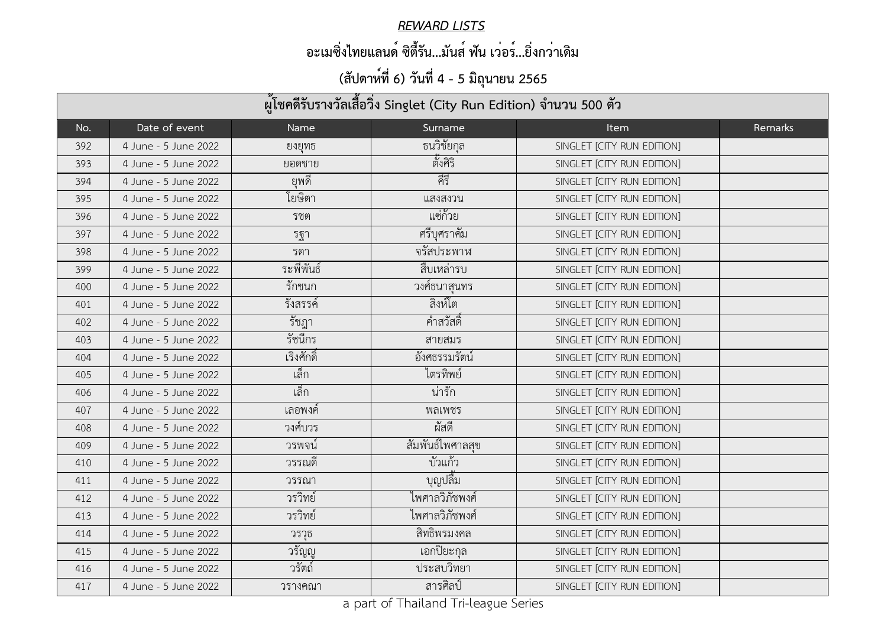#### *REWARD LISTS*

### **อะเมซิ่งไทยแลนด์ ซิตี้รัน...มันส์ ฟัน เว่อร์...ยิ่งกว่าเดิม**

| ผู้โชคดีรับรางวัลเสื้อวิ่ง Singlet (City Run Edition) จำนวน 500 ตัว |                      |            |                  |                            |         |  |
|---------------------------------------------------------------------|----------------------|------------|------------------|----------------------------|---------|--|
| No.                                                                 | Date of event        | Name       | Surname          | <b>Item</b>                | Remarks |  |
| 392                                                                 | 4 June - 5 June 2022 | ยงยุทธ     | ธนวิชัยกุล       | SINGLET [CITY RUN EDITION] |         |  |
| 393                                                                 | 4 June - 5 June 2022 | ยอดชาย     | ตั้งศิริ         | SINGLET [CITY RUN EDITION] |         |  |
| 394                                                                 | 4 June - 5 June 2022 | ยพดิ       | คีรี             | SINGLET [CITY RUN EDITION] |         |  |
| 395                                                                 | 4 June - 5 June 2022 | โยษิตา     | แสงสงวน          | SINGLET [CITY RUN EDITION] |         |  |
| 396                                                                 | 4 June - 5 June 2022 | รชต        | แซ่ก้วย          | SINGLET [CITY RUN EDITION] |         |  |
| 397                                                                 | 4 June - 5 June 2022 | รฐา        | ศรีบุศราคัม      | SINGLET [CITY RUN EDITION] |         |  |
| 398                                                                 | 4 June - 5 June 2022 | รดา        | จรัสประพาห       | SINGLET [CITY RUN EDITION] |         |  |
| 399                                                                 | 4 June - 5 June 2022 | ระพีพันธ์  | สืบเหล่ารบ       | SINGLET [CITY RUN EDITION] |         |  |
| 400                                                                 | 4 June - 5 June 2022 | รักชนก     | วงศ์ธนาสุนทร     | SINGLET [CITY RUN EDITION] |         |  |
| 401                                                                 | 4 June - 5 June 2022 | รังสรรค์   | สิงห์โต          | SINGLET [CITY RUN EDITION] |         |  |
| 402                                                                 | 4 June - 5 June 2022 | รัชฎา      | ้คำสวัสดิ์       | SINGLET [CITY RUN EDITION] |         |  |
| 403                                                                 | 4 June - 5 June 2022 | รัชนีกร    | สายสมร           | SINGLET [CITY RUN EDITION] |         |  |
| 404                                                                 | 4 June - 5 June 2022 | เริงศักดิ์ | อังศธรรมรัตน์    | SINGLET [CITY RUN EDITION] |         |  |
| 405                                                                 | 4 June - 5 June 2022 | เล็ก       | ไตรทิพย์         | SINGLET [CITY RUN EDITION] |         |  |
| 406                                                                 | 4 June - 5 June 2022 | เล็ก       | น่ารัก           | SINGLET [CITY RUN EDITION] |         |  |
| 407                                                                 | 4 June - 5 June 2022 | เลอพงค์    | พลเพชร           | SINGLET [CITY RUN EDITION] |         |  |
| 408                                                                 | 4 June - 5 June 2022 | วงศ์บวร    | ผัสดี            | SINGLET [CITY RUN EDITION] |         |  |
| 409                                                                 | 4 June - 5 June 2022 | วรพจน์     | สัมพันธ์ไพศาลสุข | SINGLET [CITY RUN EDITION] |         |  |
| 410                                                                 | 4 June - 5 June 2022 | วรรณดิ     | ู<br>บัวแก้ว     | SINGLET [CITY RUN EDITION] |         |  |
| 411                                                                 | 4 June - 5 June 2022 | วรรณา      | บุญปลืม          | SINGLET [CITY RUN EDITION] |         |  |
| 412                                                                 | 4 June - 5 June 2022 | วรวิทย์    | ไพศาลวิภัชพงศ์   | SINGLET [CITY RUN EDITION] |         |  |
| 413                                                                 | 4 June - 5 June 2022 | วรวิทย์    | ไพศาลวิภัชพงศ์   | SINGLET [CITY RUN EDITION] |         |  |
| 414                                                                 | 4 June - 5 June 2022 | วรวุธ      | สิทธิพรมงคล      | SINGLET [CITY RUN EDITION] |         |  |
| 415                                                                 | 4 June - 5 June 2022 | วรัญญู     | เอกปิยะกุล       | SINGLET [CITY RUN EDITION] |         |  |
| 416                                                                 | 4 June - 5 June 2022 | วรัตถ์     | ประสบวิทยา       | SINGLET [CITY RUN EDITION] |         |  |
| 417                                                                 | 4 June - 5 June 2022 | วรางคณา    | สารศิลป์         | SINGLET [CITY RUN EDITION] |         |  |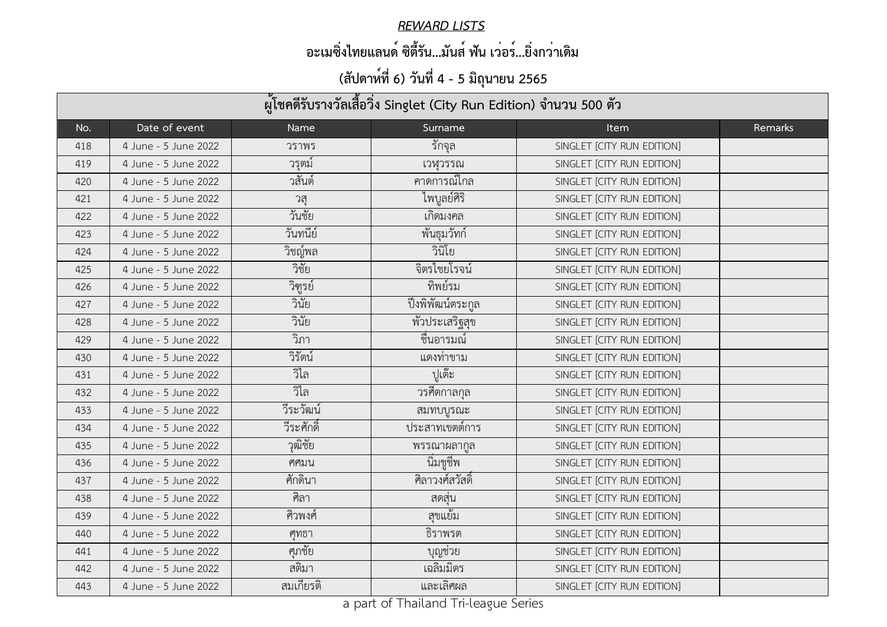#### *REWARD LISTS*

### **อะเมซิ่งไทยแลนด์ ซิตี้รัน...มันส์ ฟัน เว่อร์...ยิ่งกว่าเดิม**

| ผู้โชคดีรับรางวัลเสื้อวิ่ง Singlet (City Run Edition) จำนวน 500 ตัว |                      |            |                   |                            |         |  |
|---------------------------------------------------------------------|----------------------|------------|-------------------|----------------------------|---------|--|
| No.                                                                 | Date of event        | Name       | Surname           | <b>Item</b>                | Remarks |  |
| 418                                                                 | 4 June - 5 June 2022 | วราพร      | ี รักจุล          | SINGLET [CITY RUN EDITION] |         |  |
| 419                                                                 | 4 June - 5 June 2022 | วรุตม์     | เวหฺวรรณ          | SINGLET [CITY RUN EDITION] |         |  |
| 420                                                                 | 4 June - 5 June 2022 | วสันต์     | คาดการณ์ไกล       | SINGLET [CITY RUN EDITION] |         |  |
| 421                                                                 | 4 June - 5 June 2022 | วสุ        | ไพบูลย์ศิริ       | SINGLET [CITY RUN EDITION] |         |  |
| 422                                                                 | 4 June - 5 June 2022 | วันชัย     | เกิดมงคล          | SINGLET [CITY RUN EDITION] |         |  |
| 423                                                                 | 4 June - 5 June 2022 | วันทนีย์   | พันธุมวัทก์       | SINGLET [CITY RUN EDITION] |         |  |
| 424                                                                 | 4 June - 5 June 2022 | วิชญ์พล    | วินิโย            | SINGLET [CITY RUN EDITION] |         |  |
| 425                                                                 | 4 June - 5 June 2022 | วิชัย      | จิตรไชยโรจน์      | SINGLET [CITY RUN EDITION] |         |  |
| 426                                                                 | 4 June - 5 June 2022 | วิฑูรย์    | ทิพย์รม           | SINGLET [CITY RUN EDITION] |         |  |
| 427                                                                 | 4 June - 5 June 2022 | วินัย      | ปิ้งพิพัฒน์ตระกูล | SINGLET [CITY RUN EDITION] |         |  |
| 428                                                                 | 4 June - 5 June 2022 | วินัย      | พัวประเสริฐสุข    | SINGLET [CITY RUN EDITION] |         |  |
| 429                                                                 | 4 June - 5 June 2022 | วิภา       | ชื่นอารมณ์        | SINGLET [CITY RUN EDITION] |         |  |
| 430                                                                 | 4 June - 5 June 2022 | วิรัตน์    | แดงท่าขาม         | SINGLET [CITY RUN EDITION] |         |  |
| 431                                                                 | 4 June - 5 June 2022 | วิไล       | ปูเต๊ะ            | SINGLET [CITY RUN EDITION] |         |  |
| 432                                                                 | 4 June - 5 June 2022 | วิไล       | วรศีตกาลกุล       | SINGLET [CITY RUN EDITION] |         |  |
| 433                                                                 | 4 June - 5 June 2022 | วีระวัฒน์  | สมทบบูรณะ         | SINGLET [CITY RUN EDITION] |         |  |
| 434                                                                 | 4 June - 5 June 2022 | วีระศักดิ์ | ประสาทเขตต์การ    | SINGLET [CITY RUN EDITION] |         |  |
| 435                                                                 | 4 June - 5 June 2022 | วุฒิชัย    | พรรณาผลากูล       | SINGLET [CITY RUN EDITION] |         |  |
| 436                                                                 | 4 June - 5 June 2022 | ศศมน       | นิมชูชีพ          | SINGLET [CITY RUN EDITION] |         |  |
| 437                                                                 | 4 June - 5 June 2022 | ศักดินา    | ์ศิลาวงศ์สวัสดิ์  | SINGLET [CITY RUN EDITION] |         |  |
| 438                                                                 | 4 June - 5 June 2022 | ศิลา       | ิสดสุน            | SINGLET [CITY RUN EDITION] |         |  |
| 439                                                                 | 4 June - 5 June 2022 | ศิวพงศ์    | สุขแย็ม           | SINGLET [CITY RUN EDITION] |         |  |
| 440                                                                 | 4 June - 5 June 2022 | ศทธา       | ธิราพรต           | SINGLET [CITY RUN EDITION] |         |  |
| 441                                                                 | 4 June - 5 June 2022 | ศุภชัย     | บุญช่วย           | SINGLET [CITY RUN EDITION] |         |  |
| 442                                                                 | 4 June - 5 June 2022 | สติมา      | เฉลิมมิตร         | SINGLET [CITY RUN EDITION] |         |  |
| 443                                                                 | 4 June - 5 June 2022 | สมเกียรติ  | และเลิศผล         | SINGLET [CITY RUN EDITION] |         |  |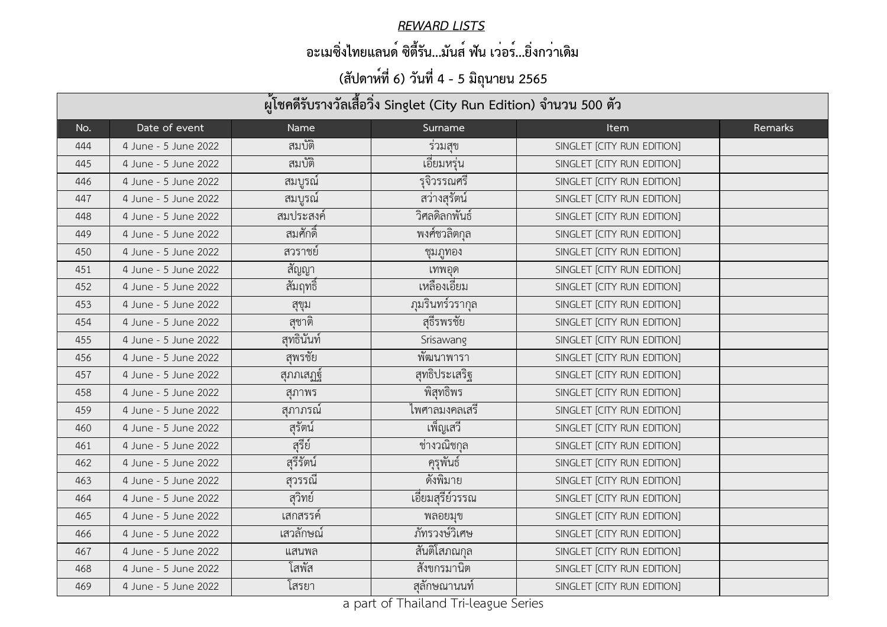#### *REWARD LISTS*

### **อะเมซิ่งไทยแลนด์ ซิตี้รัน...มันส์ ฟัน เว่อร์...ยิ่งกว่าเดิม**

| ผู้โชคดีรับรางวัลเสื้อวิ่ง Singlet (City Run Edition) จำนวน 500 ตัว |                      |             |                 |                            |         |  |
|---------------------------------------------------------------------|----------------------|-------------|-----------------|----------------------------|---------|--|
| No.                                                                 | Date of event        | <b>Name</b> | Surname         | <b>Item</b>                | Remarks |  |
| 444                                                                 | 4 June - 5 June 2022 | สมบัติ      | รวมสุข          | SINGLET [CITY RUN EDITION] |         |  |
| 445                                                                 | 4 June - 5 June 2022 | สมบัติ      | เอียมหรุ่น      | SINGLET [CITY RUN EDITION] |         |  |
| 446                                                                 | 4 June - 5 June 2022 | สมบูรณ์     | รุจิวรรณศรี     | SINGLET [CITY RUN EDITION] |         |  |
| 447                                                                 | 4 June - 5 June 2022 | สมบูรณ์     | สว่างสรัตน์     | SINGLET [CITY RUN EDITION] |         |  |
| 448                                                                 | 4 June - 5 June 2022 | สมประสงค์   | วิศลดิลกพันธ์   | SINGLET [CITY RUN EDITION] |         |  |
| 449                                                                 | 4 June - 5 June 2022 | สมศักดิ์    | พงศ์ชวลิตกุล    | SINGLET [CITY RUN EDITION] |         |  |
| 450                                                                 | 4 June - 5 June 2022 | สวราชย์     | ชุมภูทอง        | SINGLET [CITY RUN EDITION] |         |  |
| 451                                                                 | 4 June - 5 June 2022 | สัญญา       | เทพอุด          | SINGLET [CITY RUN EDITION] |         |  |
| 452                                                                 | 4 June - 5 June 2022 | ้สัมฤทธิ์   | เหลืองเอียม     | SINGLET [CITY RUN EDITION] |         |  |
| 453                                                                 | 4 June - 5 June 2022 | สุขุม       | ภุมรินทร์วรากุล | SINGLET [CITY RUN EDITION] |         |  |
| 454                                                                 | 4 June - 5 June 2022 | สชาติ       | สฺธีรพรชัย      | SINGLET [CITY RUN EDITION] |         |  |
| 455                                                                 | 4 June - 5 June 2022 | สุทธินันท์  | Srisawang       | SINGLET [CITY RUN EDITION] |         |  |
| 456                                                                 | 4 June - 5 June 2022 | สุพรชัย     | พัฒนาพารา       | SINGLET [CITY RUN EDITION] |         |  |
| 457                                                                 | 4 June - 5 June 2022 | สุภภเสฏฐ์   | สุทธิประเสริฐ   | SINGLET [CITY RUN EDITION] |         |  |
| 458                                                                 | 4 June - 5 June 2022 | สภาพร       | พิสุทธิพร       | SINGLET [CITY RUN EDITION] |         |  |
| 459                                                                 | 4 June - 5 June 2022 | สุภาภรณ์    | ไพศาลมงคลเสรี   | SINGLET [CITY RUN EDITION] |         |  |
| 460                                                                 | 4 June - 5 June 2022 | สุรัตน์     | ้เพ็ญเสวี       | SINGLET [CITY RUN EDITION] |         |  |
| 461                                                                 | 4 June - 5 June 2022 | สุรีย์      | ชางวณิชกุล      | SINGLET [CITY RUN EDITION] |         |  |
| 462                                                                 | 4 June - 5 June 2022 | สุรีรัตน์   | ้ครูพันธ์       | SINGLET [CITY RUN EDITION] |         |  |
| 463                                                                 | 4 June - 5 June 2022 | สุวรรณี     | ดังพิมาย        | SINGLET [CITY RUN EDITION] |         |  |
| 464                                                                 | 4 June - 5 June 2022 | สุวิทย์     | เอียมสุรีย์วรรณ | SINGLET [CITY RUN EDITION] |         |  |
| 465                                                                 | 4 June - 5 June 2022 | เสกสรรค์    | พลอยมุข         | SINGLET [CITY RUN EDITION] |         |  |
| 466                                                                 | 4 June - 5 June 2022 | เสวลักษณ์   | ภัทรวงษ์วิเศษ   | SINGLET [CITY RUN EDITION] |         |  |
| 467                                                                 | 4 June - 5 June 2022 | แสนพล       | ิสันติโสภณกุล   | SINGLET [CITY RUN EDITION] |         |  |
| 468                                                                 | 4 June - 5 June 2022 | โสพัส       | สังขกรมานิต     | SINGLET [CITY RUN EDITION] |         |  |
| 469                                                                 | 4 June - 5 June 2022 | โสรยา       | สลักษณานนท์     | SINGLET [CITY RUN EDITION] |         |  |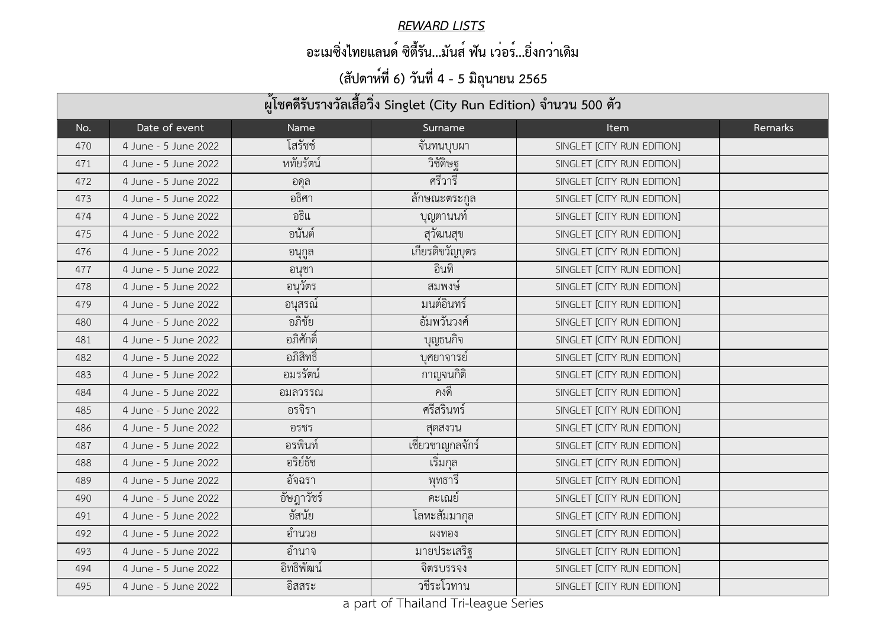#### *REWARD LISTS*

### **อะเมซิ่งไทยแลนด์ ซิตี้รัน...มันส์ ฟัน เว่อร์...ยิ่งกว่าเดิม**

| ผู้โชคดีรับรางวัลเสื้อวิ่ง Singlet (City Run Edition) จำนวน 500 ตัว |                      |             |                      |                            |         |  |
|---------------------------------------------------------------------|----------------------|-------------|----------------------|----------------------------|---------|--|
| No.                                                                 | Date of event        | <b>Name</b> | Surname              | <b>Item</b>                | Remarks |  |
| 470                                                                 | 4 June - 5 June 2022 | โสรัชช์     | จันทนบุบผา           | SINGLET [CITY RUN EDITION] |         |  |
| 471                                                                 | 4 June - 5 June 2022 | หทัยรัตน์   | วิชัดิษฐ             | SINGLET [CITY RUN EDITION] |         |  |
| 472                                                                 | 4 June - 5 June 2022 | อดุล        | ศรีวารี              | SINGLET [CITY RUN EDITION] |         |  |
| 473                                                                 | 4 June - 5 June 2022 | อธิศา       | ิลักษณะตระกูล        | SINGLET [CITY RUN EDITION] |         |  |
| 474                                                                 | 4 June - 5 June 2022 | อธิแ        | ี บุญตานนท์          | SINGLET [CITY RUN EDITION] |         |  |
| 475                                                                 | 4 June - 5 June 2022 | ้อนันต์     | สุวัฒนสุข            | SINGLET [CITY RUN EDITION] |         |  |
| 476                                                                 | 4 June - 5 June 2022 | อนุกูล      | เกียรติขวัญบุตร      | SINGLET [CITY RUN EDITION] |         |  |
| 477                                                                 | 4 June - 5 June 2022 | ้อนชา       | อินทิ                | SINGLET [CITY RUN EDITION] |         |  |
| 478                                                                 | 4 June - 5 June 2022 | อนุวัตร     | สมพงษ์               | SINGLET [CITY RUN EDITION] |         |  |
| 479                                                                 | 4 June - 5 June 2022 | อนุสรณ์     | มนต์อินทร์           | SINGLET [CITY RUN EDITION] |         |  |
| 480                                                                 | 4 June - 5 June 2022 | อภิชัย      | อัมพวันวงศ์          | SINGLET [CITY RUN EDITION] |         |  |
| 481                                                                 | 4 June - 5 June 2022 | ้อภิศักดิ์  | บุญธนกิจ             | SINGLET [CITY RUN EDITION] |         |  |
| 482                                                                 | 4 June - 5 June 2022 | ้อภิสิทธิ์  | บุศยาจารย์           | SINGLET [CITY RUN EDITION] |         |  |
| 483                                                                 | 4 June - 5 June 2022 | อมรรัตน์    | กาญจนกิติ            | SINGLET [CITY RUN EDITION] |         |  |
| 484                                                                 | 4 June - 5 June 2022 | ้อมลวรรณ    | คงดี                 | SINGLET [CITY RUN EDITION] |         |  |
| 485                                                                 | 4 June - 5 June 2022 | อรจิรา      | ศรีสรินทร์           | SINGLET [CITY RUN EDITION] |         |  |
| 486                                                                 | 4 June - 5 June 2022 | อรชร        | ิสุดสงวน             | SINGLET [CITY RUN EDITION] |         |  |
| 487                                                                 | 4 June - 5 June 2022 | ้อรพินท์    | ้<br>เชียวชาญกลจักร์ | SINGLET [CITY RUN EDITION] |         |  |
| 488                                                                 | 4 June - 5 June 2022 | อริย์ธัช    | เริ่มกุล             | SINGLET [CITY RUN EDITION] |         |  |
| 489                                                                 | 4 June - 5 June 2022 | อัจฉรา      | พุทธาริ              | SINGLET [CITY RUN EDITION] |         |  |
| 490                                                                 | 4 June - 5 June 2022 | อัษฎาวัชร์  | คะเณย์               | SINGLET [CITY RUN EDITION] |         |  |
| 491                                                                 | 4 June - 5 June 2022 | อัสนัย      | โลหะสัมมากุล         | SINGLET [CITY RUN EDITION] |         |  |
| 492                                                                 | 4 June - 5 June 2022 | อำนวย       | ผงทอง                | SINGLET [CITY RUN EDITION] |         |  |
| 493                                                                 | 4 June - 5 June 2022 | อำนาจ       | มายประเสริฐ          | SINGLET [CITY RUN EDITION] |         |  |
| 494                                                                 | 4 June - 5 June 2022 | อิทธิพัฒน์  | จิตรบรรจง            | SINGLET [CITY RUN EDITION] |         |  |
| 495                                                                 | 4 June - 5 June 2022 | อิสสระ      | ้วชีระโวทาน          | SINGLET [CITY RUN EDITION] |         |  |